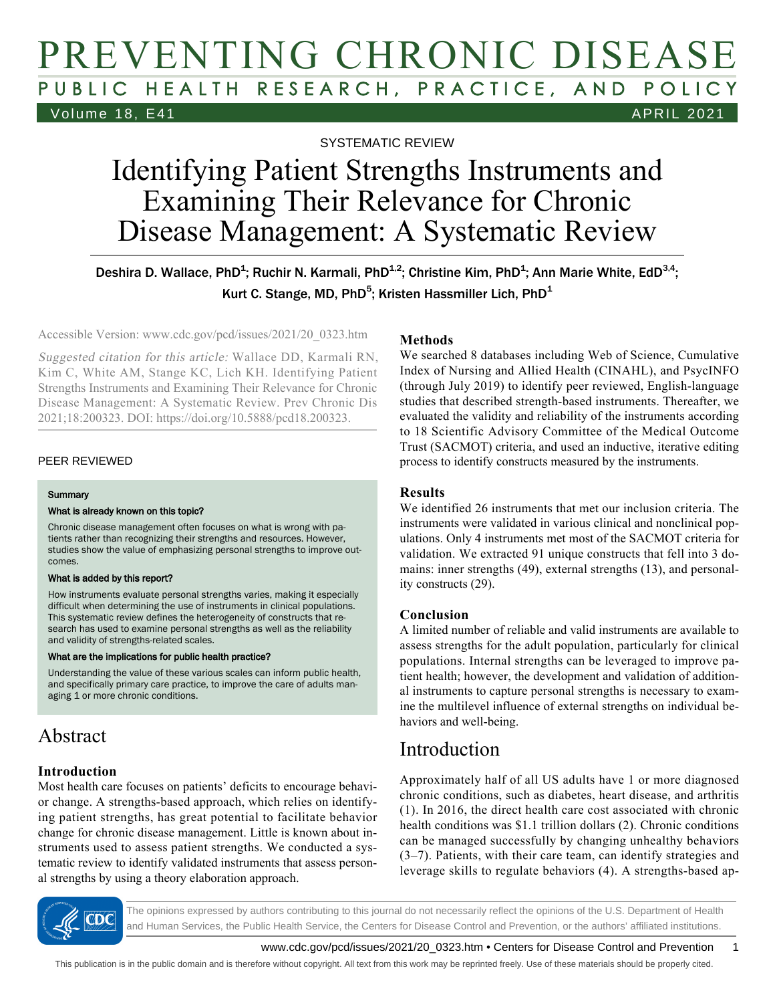# PREVENTING CHRONIC DISEASE PUBLIC HEALTH RESEARCH, PRACTICE, AND POLICY Volume 18, E41 APRIL 2021

SYSTEMATIC REVIEW

# Identifying Patient Strengths Instruments and Examining Their Relevance for Chronic Disease Management: A Systematic Review

Deshira D. Wallace, PhD<sup>1</sup>; Ruchir N. Karmali, PhD<sup>1,2</sup>; Christine Kim, PhD<sup>1</sup>; Ann Marie White, EdD<sup>3,4</sup>; Kurt C. Stange, MD, PhD $^5$ ; Kristen Hassmiller Lich, PhD $^4$ 

Accessible Version: www.cdc.gov/pcd/issues/2021/20\_0323.htm

Suggested citation for this article: Wallace DD, Karmali RN, Kim C, White AM, Stange KC, Lich KH. Identifying Patient Strengths Instruments and Examining Their Relevance for Chronic Disease Management: A Systematic Review. Prev Chronic Dis 2021;18:200323. DOI: https://doi.org/10.5888/pcd18.200323.

#### PEER REVIEWED

#### **Summary**

#### What is already known on this topic?

Chronic disease management often focuses on what is wrong with patients rather than recognizing their strengths and resources. However, studies show the value of emphasizing personal strengths to improve outcomes.

#### What is added by this report?

How instruments evaluate personal strengths varies, making it especially difficult when determining the use of instruments in clinical populations. This systematic review defines the heterogeneity of constructs that research has used to examine personal strengths as well as the reliability and validity of strengths-related scales.

#### What are the implications for public health practice?

Understanding the value of these various scales can inform public health, and specifically primary care practice, to improve the care of adults managing 1 or more chronic conditions.

# Abstract

### **Introduction**

Most health care focuses on patients' deficits to encourage behavior change. A strengths-based approach, which relies on identifying patient strengths, has great potential to facilitate behavior change for chronic disease management. Little is known about instruments used to assess patient strengths. We conducted a systematic review to identify validated instruments that assess personal strengths by using a theory elaboration approach.

### **Methods**

We searched 8 databases including Web of Science, Cumulative Index of Nursing and Allied Health (CINAHL), and PsycINFO (through July 2019) to identify peer reviewed, English-language studies that described strength-based instruments. Thereafter, we evaluated the validity and reliability of the instruments according to 18 Scientific Advisory Committee of the Medical Outcome Trust (SACMOT) criteria, and used an inductive, iterative editing process to identify constructs measured by the instruments.

### **Results**

We identified 26 instruments that met our inclusion criteria. The instruments were validated in various clinical and nonclinical populations. Only 4 instruments met most of the SACMOT criteria for validation. We extracted 91 unique constructs that fell into 3 domains: inner strengths (49), external strengths (13), and personality constructs (29).

### **Conclusion**

A limited number of reliable and valid instruments are available to assess strengths for the adult population, particularly for clinical populations. Internal strengths can be leveraged to improve patient health; however, the development and validation of additional instruments to capture personal strengths is necessary to examine the multilevel influence of external strengths on individual behaviors and well-being.

# Introduction

Approximately half of all US adults have 1 or more diagnosed chronic conditions, such as diabetes, heart disease, and arthritis (1). In 2016, the direct health care cost associated with chronic health conditions was \$1.1 trillion dollars (2). Chronic conditions can be managed successfully by changing unhealthy behaviors (3–7). Patients, with their care team, can identify strategies and leverage skills to regulate behaviors (4). A strengths-based ap-



The opinions expressed by authors contributing to this journal do not necessarily reflect the opinions of the U.S. Department of Health and Human Services, the Public Health Service, the Centers for Disease Control and Prevention, or the authors' affiliated institutions.

www.cdc.gov/pcd/issues/2021/20\_0323.htm • Centers for Disease Control and Prevention 1

This publication is in the public domain and is therefore without copyright. All text from this work may be reprinted freely. Use of these materials should be properly cited.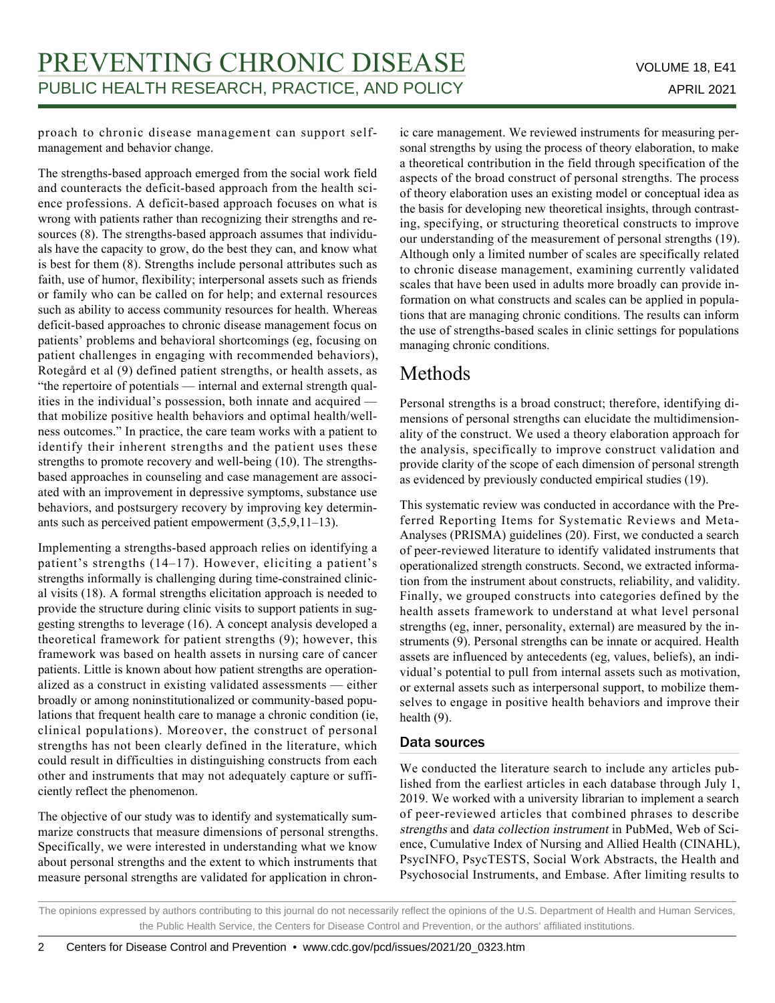proach to chronic disease management can support selfmanagement and behavior change.

The strengths-based approach emerged from the social work field and counteracts the deficit-based approach from the health science professions. A deficit-based approach focuses on what is wrong with patients rather than recognizing their strengths and resources (8). The strengths-based approach assumes that individuals have the capacity to grow, do the best they can, and know what is best for them (8). Strengths include personal attributes such as faith, use of humor, flexibility; interpersonal assets such as friends or family who can be called on for help; and external resources such as ability to access community resources for health. Whereas deficit-based approaches to chronic disease management focus on patients' problems and behavioral shortcomings (eg, focusing on patient challenges in engaging with recommended behaviors), Rotegård et al (9) defined patient strengths, or health assets, as "the repertoire of potentials — internal and external strength qualities in the individual's possession, both innate and acquired that mobilize positive health behaviors and optimal health/wellness outcomes." In practice, the care team works with a patient to identify their inherent strengths and the patient uses these strengths to promote recovery and well-being (10). The strengthsbased approaches in counseling and case management are associated with an improvement in depressive symptoms, substance use behaviors, and postsurgery recovery by improving key determinants such as perceived patient empowerment (3,5,9,11–13).

Implementing a strengths-based approach relies on identifying a patient's strengths (14–17). However, eliciting a patient's strengths informally is challenging during time-constrained clinical visits (18). A formal strengths elicitation approach is needed to provide the structure during clinic visits to support patients in suggesting strengths to leverage (16). A concept analysis developed a theoretical framework for patient strengths (9); however, this framework was based on health assets in nursing care of cancer patients. Little is known about how patient strengths are operationalized as a construct in existing validated assessments — either broadly or among noninstitutionalized or community-based populations that frequent health care to manage a chronic condition (ie, clinical populations). Moreover, the construct of personal strengths has not been clearly defined in the literature, which could result in difficulties in distinguishing constructs from each other and instruments that may not adequately capture or sufficiently reflect the phenomenon.

The objective of our study was to identify and systematically summarize constructs that measure dimensions of personal strengths. Specifically, we were interested in understanding what we know about personal strengths and the extent to which instruments that measure personal strengths are validated for application in chronic care management. We reviewed instruments for measuring personal strengths by using the process of theory elaboration, to make a theoretical contribution in the field through specification of the aspects of the broad construct of personal strengths. The process of theory elaboration uses an existing model or conceptual idea as the basis for developing new theoretical insights, through contrasting, specifying, or structuring theoretical constructs to improve our understanding of the measurement of personal strengths (19). Although only a limited number of scales are specifically related to chronic disease management, examining currently validated scales that have been used in adults more broadly can provide information on what constructs and scales can be applied in populations that are managing chronic conditions. The results can inform the use of strengths-based scales in clinic settings for populations managing chronic conditions.

# Methods

Personal strengths is a broad construct; therefore, identifying dimensions of personal strengths can elucidate the multidimensionality of the construct. We used a theory elaboration approach for the analysis, specifically to improve construct validation and provide clarity of the scope of each dimension of personal strength as evidenced by previously conducted empirical studies (19).

This systematic review was conducted in accordance with the Preferred Reporting Items for Systematic Reviews and Meta-Analyses (PRISMA) guidelines (20). First, we conducted a search of peer-reviewed literature to identify validated instruments that operationalized strength constructs. Second, we extracted information from the instrument about constructs, reliability, and validity. Finally, we grouped constructs into categories defined by the health assets framework to understand at what level personal strengths (eg, inner, personality, external) are measured by the instruments (9). Personal strengths can be innate or acquired. Health assets are influenced by antecedents (eg, values, beliefs), an individual's potential to pull from internal assets such as motivation, or external assets such as interpersonal support, to mobilize themselves to engage in positive health behaviors and improve their health (9).

# Data sources

We conducted the literature search to include any articles published from the earliest articles in each database through July 1, 2019. We worked with a university librarian to implement a search of peer-reviewed articles that combined phrases to describe strengths and data collection instrument in PubMed, Web of Science, Cumulative Index of Nursing and Allied Health (CINAHL), PsycINFO, PsycTESTS, Social Work Abstracts, the Health and Psychosocial Instruments, and Embase. After limiting results to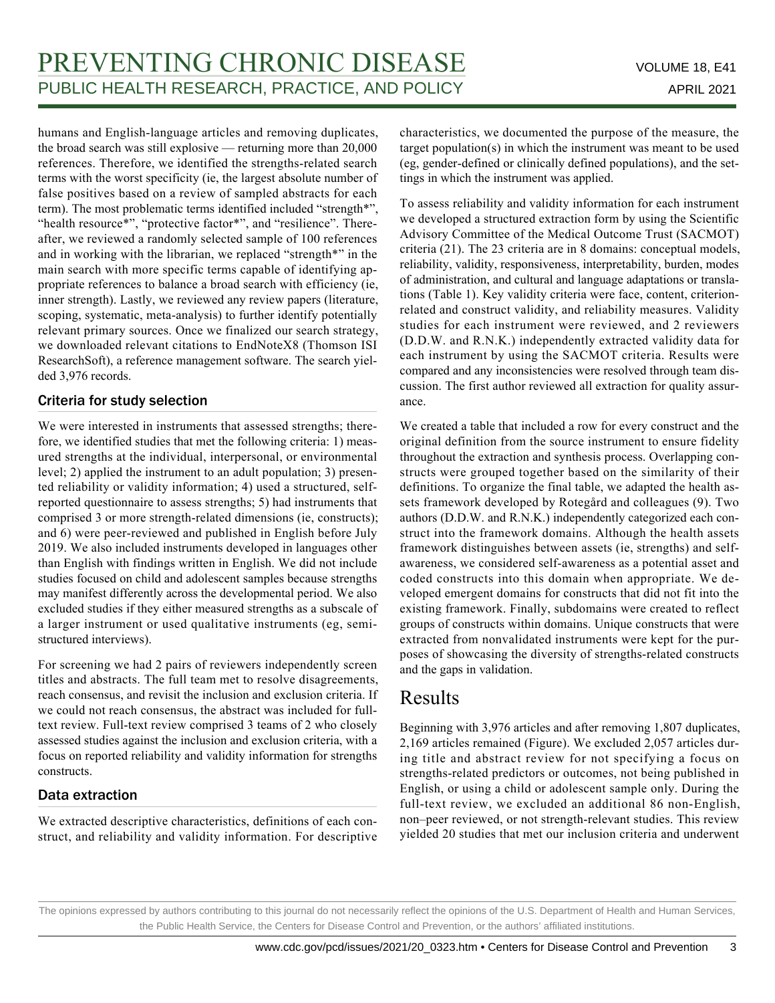humans and English-language articles and removing duplicates, the broad search was still explosive — returning more than 20,000 references. Therefore, we identified the strengths-related search terms with the worst specificity (ie, the largest absolute number of false positives based on a review of sampled abstracts for each term). The most problematic terms identified included "strength\*", "health resource\*", "protective factor\*", and "resilience". Thereafter, we reviewed a randomly selected sample of 100 references and in working with the librarian, we replaced "strength\*" in the main search with more specific terms capable of identifying appropriate references to balance a broad search with efficiency (ie, inner strength). Lastly, we reviewed any review papers (literature, scoping, systematic, meta-analysis) to further identify potentially relevant primary sources. Once we finalized our search strategy, we downloaded relevant citations to EndNoteX8 (Thomson ISI ResearchSoft), a reference management software. The search yielded 3,976 records.

# Criteria for study selection

We were interested in instruments that assessed strengths; therefore, we identified studies that met the following criteria: 1) measured strengths at the individual, interpersonal, or environmental level; 2) applied the instrument to an adult population; 3) presented reliability or validity information; 4) used a structured, selfreported questionnaire to assess strengths; 5) had instruments that comprised 3 or more strength-related dimensions (ie, constructs); and 6) were peer-reviewed and published in English before July 2019. We also included instruments developed in languages other than English with findings written in English. We did not include studies focused on child and adolescent samples because strengths may manifest differently across the developmental period. We also excluded studies if they either measured strengths as a subscale of a larger instrument or used qualitative instruments (eg, semistructured interviews).

For screening we had 2 pairs of reviewers independently screen titles and abstracts. The full team met to resolve disagreements, reach consensus, and revisit the inclusion and exclusion criteria. If we could not reach consensus, the abstract was included for fulltext review. Full-text review comprised 3 teams of 2 who closely assessed studies against the inclusion and exclusion criteria, with a focus on reported reliability and validity information for strengths constructs.

# Data extraction

We extracted descriptive characteristics, definitions of each construct, and reliability and validity information. For descriptive characteristics, we documented the purpose of the measure, the target population(s) in which the instrument was meant to be used (eg, gender-defined or clinically defined populations), and the settings in which the instrument was applied.

To assess reliability and validity information for each instrument we developed a structured extraction form by using the Scientific Advisory Committee of the Medical Outcome Trust (SACMOT) criteria (21). The 23 criteria are in 8 domains: conceptual models, reliability, validity, responsiveness, interpretability, burden, modes of administration, and cultural and language adaptations or translations (Table 1). Key validity criteria were face, content, criterionrelated and construct validity, and reliability measures. Validity studies for each instrument were reviewed, and 2 reviewers (D.D.W. and R.N.K.) independently extracted validity data for each instrument by using the SACMOT criteria. Results were compared and any inconsistencies were resolved through team discussion. The first author reviewed all extraction for quality assurance.

We created a table that included a row for every construct and the original definition from the source instrument to ensure fidelity throughout the extraction and synthesis process. Overlapping constructs were grouped together based on the similarity of their definitions. To organize the final table, we adapted the health assets framework developed by Rotegård and colleagues (9). Two authors (D.D.W. and R.N.K.) independently categorized each construct into the framework domains. Although the health assets framework distinguishes between assets (ie, strengths) and selfawareness, we considered self-awareness as a potential asset and coded constructs into this domain when appropriate. We developed emergent domains for constructs that did not fit into the existing framework. Finally, subdomains were created to reflect groups of constructs within domains. Unique constructs that were extracted from nonvalidated instruments were kept for the purposes of showcasing the diversity of strengths-related constructs and the gaps in validation.

# Results

Beginning with 3,976 articles and after removing 1,807 duplicates, 2,169 articles remained (Figure). We excluded 2,057 articles during title and abstract review for not specifying a focus on strengths-related predictors or outcomes, not being published in English, or using a child or adolescent sample only. During the full-text review, we excluded an additional 86 non-English, non–peer reviewed, or not strength-relevant studies. This review yielded 20 studies that met our inclusion criteria and underwent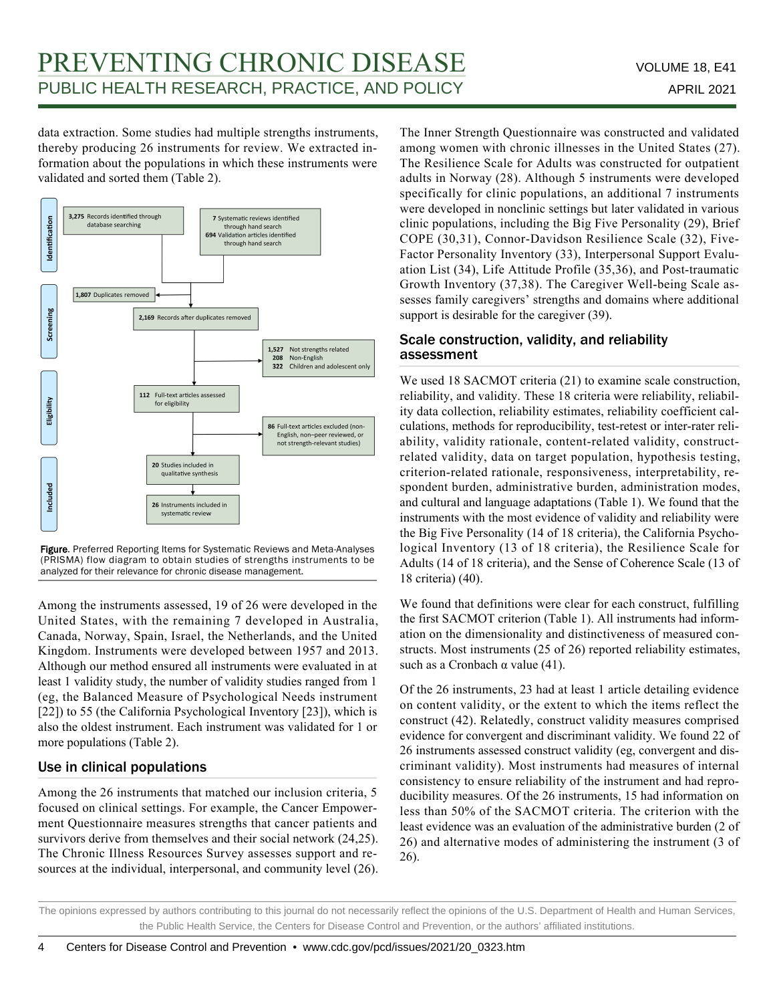data extraction. Some studies had multiple strengths instruments, thereby producing 26 instruments for review. We extracted information about the populations in which these instruments were validated and sorted them (Table 2).



Figure. Preferred Reporting Items for Systematic Reviews and Meta-Analyses (PRISMA) flow diagram to obtain studies of strengths instruments to be analyzed for their relevance for chronic disease management.

Among the instruments assessed, 19 of 26 were developed in the United States, with the remaining 7 developed in Australia, Canada, Norway, Spain, Israel, the Netherlands, and the United Kingdom. Instruments were developed between 1957 and 2013. Although our method ensured all instruments were evaluated in at least 1 validity study, the number of validity studies ranged from 1 (eg, the Balanced Measure of Psychological Needs instrument [22]) to 55 (the California Psychological Inventory [23]), which is also the oldest instrument. Each instrument was validated for 1 or more populations (Table 2).

# Use in clinical populations

Among the 26 instruments that matched our inclusion criteria, 5 focused on clinical settings. For example, the Cancer Empowerment Questionnaire measures strengths that cancer patients and survivors derive from themselves and their social network (24,25). The Chronic Illness Resources Survey assesses support and resources at the individual, interpersonal, and community level (26). The Inner Strength Questionnaire was constructed and validated among women with chronic illnesses in the United States (27). The Resilience Scale for Adults was constructed for outpatient adults in Norway (28). Although 5 instruments were developed specifically for clinic populations, an additional 7 instruments were developed in nonclinic settings but later validated in various clinic populations, including the Big Five Personality (29), Brief COPE (30,31), Connor-Davidson Resilience Scale (32), Five-Factor Personality Inventory (33), Interpersonal Support Evaluation List (34), Life Attitude Profile (35,36), and Post-traumatic Growth Inventory (37,38). The Caregiver Well-being Scale assesses family caregivers' strengths and domains where additional support is desirable for the caregiver (39).

## Scale construction, validity, and reliability assessment

We used 18 SACMOT criteria (21) to examine scale construction, reliability, and validity. These 18 criteria were reliability, reliability data collection, reliability estimates, reliability coefficient calculations, methods for reproducibility, test-retest or inter-rater reliability, validity rationale, content-related validity, constructrelated validity, data on target population, hypothesis testing, criterion-related rationale, responsiveness, interpretability, respondent burden, administrative burden, administration modes, and cultural and language adaptations (Table 1). We found that the instruments with the most evidence of validity and reliability were the Big Five Personality (14 of 18 criteria), the California Psychological Inventory (13 of 18 criteria), the Resilience Scale for Adults (14 of 18 criteria), and the Sense of Coherence Scale (13 of 18 criteria) (40).

We found that definitions were clear for each construct, fulfilling the first SACMOT criterion (Table 1). All instruments had information on the dimensionality and distinctiveness of measured constructs. Most instruments (25 of 26) reported reliability estimates, such as a Cronbach  $\alpha$  value (41).

Of the 26 instruments, 23 had at least 1 article detailing evidence on content validity, or the extent to which the items reflect the construct (42). Relatedly, construct validity measures comprised evidence for convergent and discriminant validity. We found 22 of 26 instruments assessed construct validity (eg, convergent and discriminant validity). Most instruments had measures of internal consistency to ensure reliability of the instrument and had reproducibility measures. Of the 26 instruments, 15 had information on less than 50% of the SACMOT criteria. The criterion with the least evidence was an evaluation of the administrative burden (2 of 26) and alternative modes of administering the instrument (3 of 26).

The opinions expressed by authors contributing to this journal do not necessarily reflect the opinions of the U.S. Department of Health and Human Services, the Public Health Service, the Centers for Disease Control and Prevention, or the authors' affiliated institutions.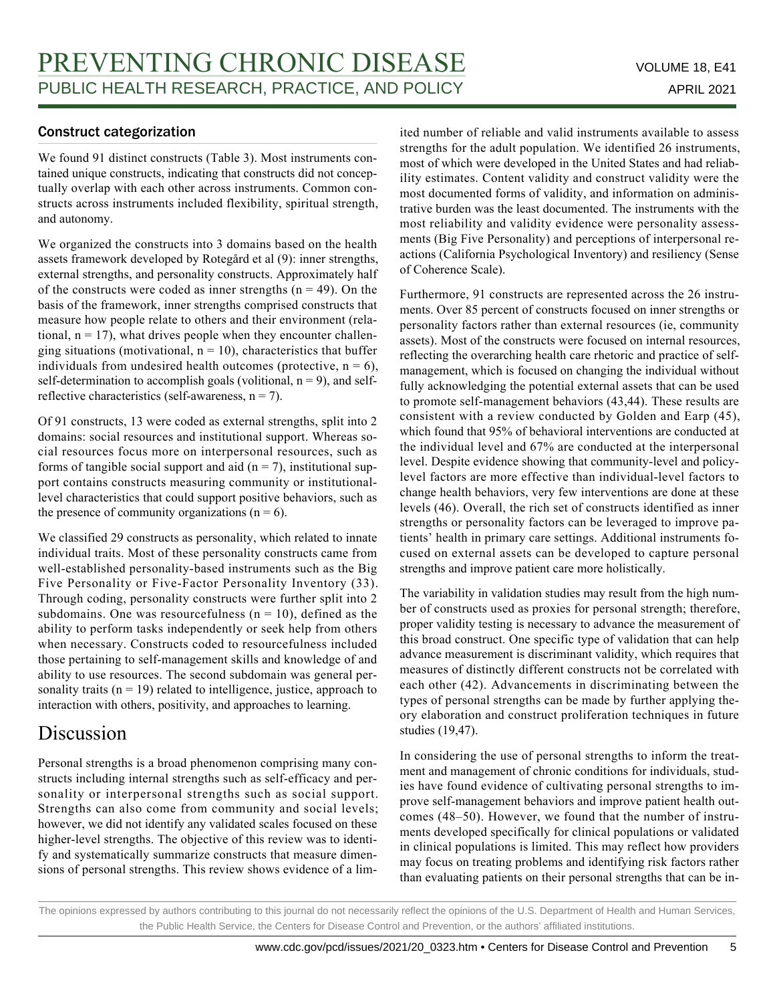# Construct categorization

We found 91 distinct constructs (Table 3). Most instruments contained unique constructs, indicating that constructs did not conceptually overlap with each other across instruments. Common constructs across instruments included flexibility, spiritual strength, and autonomy.

We organized the constructs into 3 domains based on the health assets framework developed by Rotegård et al (9): inner strengths, external strengths, and personality constructs. Approximately half of the constructs were coded as inner strengths  $(n = 49)$ . On the basis of the framework, inner strengths comprised constructs that measure how people relate to others and their environment (relational,  $n = 17$ ), what drives people when they encounter challenging situations (motivational,  $n = 10$ ), characteristics that buffer individuals from undesired health outcomes (protective,  $n = 6$ ), self-determination to accomplish goals (volitional,  $n = 9$ ), and selfreflective characteristics (self-awareness,  $n = 7$ ).

Of 91 constructs, 13 were coded as external strengths, split into 2 domains: social resources and institutional support. Whereas social resources focus more on interpersonal resources, such as forms of tangible social support and aid  $(n = 7)$ , institutional support contains constructs measuring community or institutionallevel characteristics that could support positive behaviors, such as the presence of community organizations  $(n = 6)$ .

We classified 29 constructs as personality, which related to innate individual traits. Most of these personality constructs came from well-established personality-based instruments such as the Big Five Personality or Five-Factor Personality Inventory (33). Through coding, personality constructs were further split into 2 subdomains. One was resourcefulness  $(n = 10)$ , defined as the ability to perform tasks independently or seek help from others when necessary. Constructs coded to resourcefulness included those pertaining to self-management skills and knowledge of and ability to use resources. The second subdomain was general personality traits ( $n = 19$ ) related to intelligence, justice, approach to interaction with others, positivity, and approaches to learning.

# Discussion

Personal strengths is a broad phenomenon comprising many constructs including internal strengths such as self-efficacy and personality or interpersonal strengths such as social support. Strengths can also come from community and social levels; however, we did not identify any validated scales focused on these higher-level strengths. The objective of this review was to identify and systematically summarize constructs that measure dimensions of personal strengths. This review shows evidence of a limited number of reliable and valid instruments available to assess strengths for the adult population. We identified 26 instruments, most of which were developed in the United States and had reliability estimates. Content validity and construct validity were the most documented forms of validity, and information on administrative burden was the least documented. The instruments with the most reliability and validity evidence were personality assessments (Big Five Personality) and perceptions of interpersonal reactions (California Psychological Inventory) and resiliency (Sense of Coherence Scale).

Furthermore, 91 constructs are represented across the 26 instruments. Over 85 percent of constructs focused on inner strengths or personality factors rather than external resources (ie, community assets). Most of the constructs were focused on internal resources, reflecting the overarching health care rhetoric and practice of selfmanagement, which is focused on changing the individual without fully acknowledging the potential external assets that can be used to promote self-management behaviors (43,44). These results are consistent with a review conducted by Golden and Earp (45), which found that 95% of behavioral interventions are conducted at the individual level and 67% are conducted at the interpersonal level. Despite evidence showing that community-level and policylevel factors are more effective than individual-level factors to change health behaviors, very few interventions are done at these levels (46). Overall, the rich set of constructs identified as inner strengths or personality factors can be leveraged to improve patients' health in primary care settings. Additional instruments focused on external assets can be developed to capture personal strengths and improve patient care more holistically.

The variability in validation studies may result from the high number of constructs used as proxies for personal strength; therefore, proper validity testing is necessary to advance the measurement of this broad construct. One specific type of validation that can help advance measurement is discriminant validity, which requires that measures of distinctly different constructs not be correlated with each other (42). Advancements in discriminating between the types of personal strengths can be made by further applying theory elaboration and construct proliferation techniques in future studies (19,47).

In considering the use of personal strengths to inform the treatment and management of chronic conditions for individuals, studies have found evidence of cultivating personal strengths to improve self-management behaviors and improve patient health outcomes (48–50). However, we found that the number of instruments developed specifically for clinical populations or validated in clinical populations is limited. This may reflect how providers may focus on treating problems and identifying risk factors rather than evaluating patients on their personal strengths that can be in-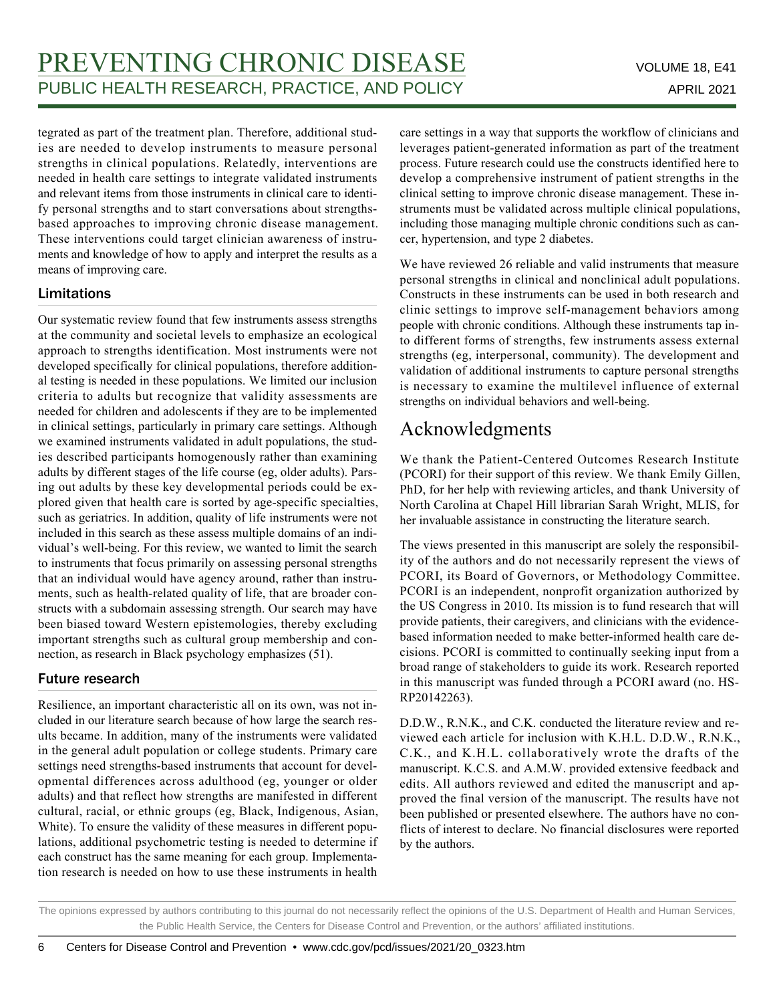tegrated as part of the treatment plan. Therefore, additional studies are needed to develop instruments to measure personal strengths in clinical populations. Relatedly, interventions are needed in health care settings to integrate validated instruments and relevant items from those instruments in clinical care to identify personal strengths and to start conversations about strengthsbased approaches to improving chronic disease management. These interventions could target clinician awareness of instruments and knowledge of how to apply and interpret the results as a means of improving care.

# Limitations

Our systematic review found that few instruments assess strengths at the community and societal levels to emphasize an ecological approach to strengths identification. Most instruments were not developed specifically for clinical populations, therefore additional testing is needed in these populations. We limited our inclusion criteria to adults but recognize that validity assessments are needed for children and adolescents if they are to be implemented in clinical settings, particularly in primary care settings. Although we examined instruments validated in adult populations, the studies described participants homogenously rather than examining adults by different stages of the life course (eg, older adults). Parsing out adults by these key developmental periods could be explored given that health care is sorted by age-specific specialties, such as geriatrics. In addition, quality of life instruments were not included in this search as these assess multiple domains of an individual's well-being. For this review, we wanted to limit the search to instruments that focus primarily on assessing personal strengths that an individual would have agency around, rather than instruments, such as health-related quality of life, that are broader constructs with a subdomain assessing strength. Our search may have been biased toward Western epistemologies, thereby excluding important strengths such as cultural group membership and connection, as research in Black psychology emphasizes (51).

# Future research

Resilience, an important characteristic all on its own, was not included in our literature search because of how large the search results became. In addition, many of the instruments were validated in the general adult population or college students. Primary care settings need strengths-based instruments that account for developmental differences across adulthood (eg, younger or older adults) and that reflect how strengths are manifested in different cultural, racial, or ethnic groups (eg, Black, Indigenous, Asian, White). To ensure the validity of these measures in different populations, additional psychometric testing is needed to determine if each construct has the same meaning for each group. Implementation research is needed on how to use these instruments in health

care settings in a way that supports the workflow of clinicians and leverages patient-generated information as part of the treatment process. Future research could use the constructs identified here to develop a comprehensive instrument of patient strengths in the clinical setting to improve chronic disease management. These instruments must be validated across multiple clinical populations, including those managing multiple chronic conditions such as cancer, hypertension, and type 2 diabetes.

We have reviewed 26 reliable and valid instruments that measure personal strengths in clinical and nonclinical adult populations. Constructs in these instruments can be used in both research and clinic settings to improve self-management behaviors among people with chronic conditions. Although these instruments tap into different forms of strengths, few instruments assess external strengths (eg, interpersonal, community). The development and validation of additional instruments to capture personal strengths is necessary to examine the multilevel influence of external strengths on individual behaviors and well-being.

# Acknowledgments

We thank the Patient-Centered Outcomes Research Institute (PCORI) for their support of this review. We thank Emily Gillen, PhD, for her help with reviewing articles, and thank University of North Carolina at Chapel Hill librarian Sarah Wright, MLIS, for her invaluable assistance in constructing the literature search.

The views presented in this manuscript are solely the responsibility of the authors and do not necessarily represent the views of PCORI, its Board of Governors, or Methodology Committee. PCORI is an independent, nonprofit organization authorized by the US Congress in 2010. Its mission is to fund research that will provide patients, their caregivers, and clinicians with the evidencebased information needed to make better-informed health care decisions. PCORI is committed to continually seeking input from a broad range of stakeholders to guide its work. Research reported in this manuscript was funded through a PCORI award (no. HS-RP20142263).

D.D.W., R.N.K., and C.K. conducted the literature review and reviewed each article for inclusion with K.H.L. D.D.W., R.N.K., C.K., and K.H.L. collaboratively wrote the drafts of the manuscript. K.C.S. and A.M.W. provided extensive feedback and edits. All authors reviewed and edited the manuscript and approved the final version of the manuscript. The results have not been published or presented elsewhere. The authors have no conflicts of interest to declare. No financial disclosures were reported by the authors.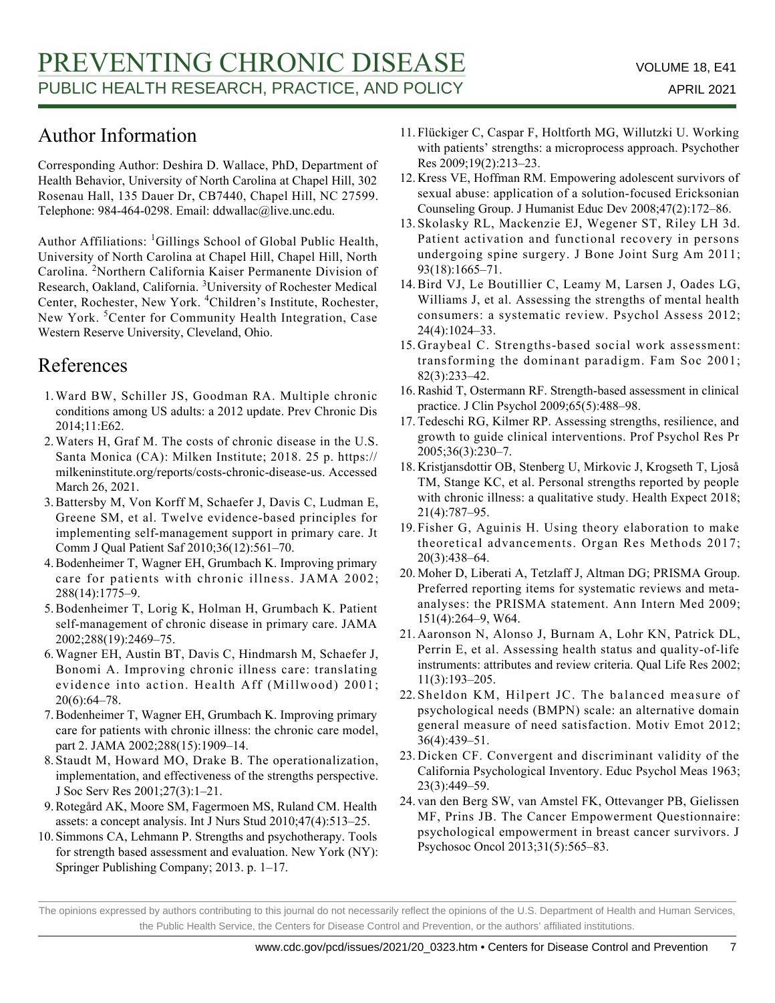# Author Information

Corresponding Author: Deshira D. Wallace, PhD, Department of Health Behavior, University of North Carolina at Chapel Hill, 302 Rosenau Hall, 135 Dauer Dr, CB7440, Chapel Hill, NC 27599. Telephone: 984-464-0298. Email: ddwallac@live.unc.edu.

Author Affiliations: <sup>1</sup>Gillings School of Global Public Health, University of North Carolina at Chapel Hill, Chapel Hill, North Carolina. <sup>2</sup>Northern California Kaiser Permanente Division of Research, Oakland, California. <sup>3</sup>University of Rochester Medical Center, Rochester, New York. <sup>4</sup>Children's Institute, Rochester, New York.<sup>5</sup>Center for Community Health Integration, Case Western Reserve University, Cleveland, Ohio.

# References

- 1. Ward BW, Schiller JS, Goodman RA. Multiple chronic conditions among US adults: a 2012 update. Prev Chronic Dis 2014;11:E62.
- 2. Waters H, Graf M. The costs of chronic disease in the U.S. Santa Monica (CA): Milken Institute; 2018. 25 p. https:// milkeninstitute.org/reports/costs-chronic-disease-us. Accessed March 26, 2021.
- 3. Battersby M, Von Korff M, Schaefer J, Davis C, Ludman E, Greene SM, et al. Twelve evidence-based principles for implementing self-management support in primary care. Jt Comm J Qual Patient Saf 2010;36(12):561–70.
- 4. Bodenheimer T, Wagner EH, Grumbach K. Improving primary care for patients with chronic illness. JAMA 2002; 288(14):1775–9.
- 5. Bodenheimer T, Lorig K, Holman H, Grumbach K. Patient self-management of chronic disease in primary care. JAMA 2002;288(19):2469–75.
- Wagner EH, Austin BT, Davis C, Hindmarsh M, Schaefer J, 6. Bonomi A. Improving chronic illness care: translating evidence into action. Health Aff (Millwood) 2001; 20(6):64–78.
- 7. Bodenheimer T, Wagner EH, Grumbach K. Improving primary care for patients with chronic illness: the chronic care model, part 2. JAMA 2002;288(15):1909–14.
- 8. Staudt M, Howard MO, Drake B. The operationalization, implementation, and effectiveness of the strengths perspective. J Soc Serv Res 2001;27(3):1–21.
- 9. Rotegård AK, Moore SM, Fagermoen MS, Ruland CM. Health assets: a concept analysis. Int J Nurs Stud 2010;47(4):513–25.
- 10. Simmons CA, Lehmann P. Strengths and psychotherapy. Tools for strength based assessment and evaluation. New York (NY): Springer Publishing Company; 2013. p. 1–17.
- Flückiger C, Caspar F, Holtforth MG, Willutzki U. Working 11. with patients' strengths: a microprocess approach. Psychother Res 2009;19(2):213–23.
- 12. Kress VE, Hoffman RM. Empowering adolescent survivors of sexual abuse: application of a solution‐focused Ericksonian Counseling Group. J Humanist Educ Dev 2008;47(2):172–86.
- 13. Skolasky RL, Mackenzie EJ, Wegener ST, Riley LH 3d. Patient activation and functional recovery in persons undergoing spine surgery. J Bone Joint Surg Am 2011; 93(18):1665–71.
- 14. Bird VJ, Le Boutillier C, Leamy M, Larsen J, Oades LG, Williams J, et al. Assessing the strengths of mental health consumers: a systematic review. Psychol Assess 2012; 24(4):1024–33.
- 15. Graybeal C. Strengths-based social work assessment: transforming the dominant paradigm. Fam Soc 2001; 82(3):233–42.
- 16. Rashid T, Ostermann RF. Strength-based assessment in clinical practice. J Clin Psychol 2009;65(5):488–98.
- 17. Tedeschi RG, Kilmer RP. Assessing strengths, resilience, and growth to guide clinical interventions. Prof Psychol Res Pr 2005;36(3):230–7.
- 18. Kristjansdottir OB, Stenberg U, Mirkovic J, Krogseth T, Ljoså TM, Stange KC, et al. Personal strengths reported by people with chronic illness: a qualitative study. Health Expect 2018; 21(4):787–95.
- 19. Fisher G, Aguinis H. Using theory elaboration to make theoretical advancements. Organ Res Methods 2017; 20(3):438–64.
- 20. Moher D, Liberati A, Tetzlaff J, Altman DG; PRISMA Group. Preferred reporting items for systematic reviews and metaanalyses: the PRISMA statement. Ann Intern Med 2009; 151(4):264–9, W64.
- 21. Aaronson N, Alonso J, Burnam A, Lohr KN, Patrick DL, Perrin E, et al. Assessing health status and quality-of-life instruments: attributes and review criteria. Qual Life Res 2002; 11(3):193–205.
- 22. Sheldon KM, Hilpert JC. The balanced measure of psychological needs (BMPN) scale: an alternative domain general measure of need satisfaction. Motiv Emot 2012; 36(4):439–51.
- 23. Dicken CF. Convergent and discriminant validity of the California Psychological Inventory. Educ Psychol Meas 1963; 23(3):449–59.
- 24. van den Berg SW, van Amstel FK, Ottevanger PB, Gielissen MF, Prins JB. The Cancer Empowerment Questionnaire: psychological empowerment in breast cancer survivors. J Psychosoc Oncol 2013;31(5):565–83.

The opinions expressed by authors contributing to this journal do not necessarily reflect the opinions of the U.S. Department of Health and Human Services, the Public Health Service, the Centers for Disease Control and Prevention, or the authors' affiliated institutions.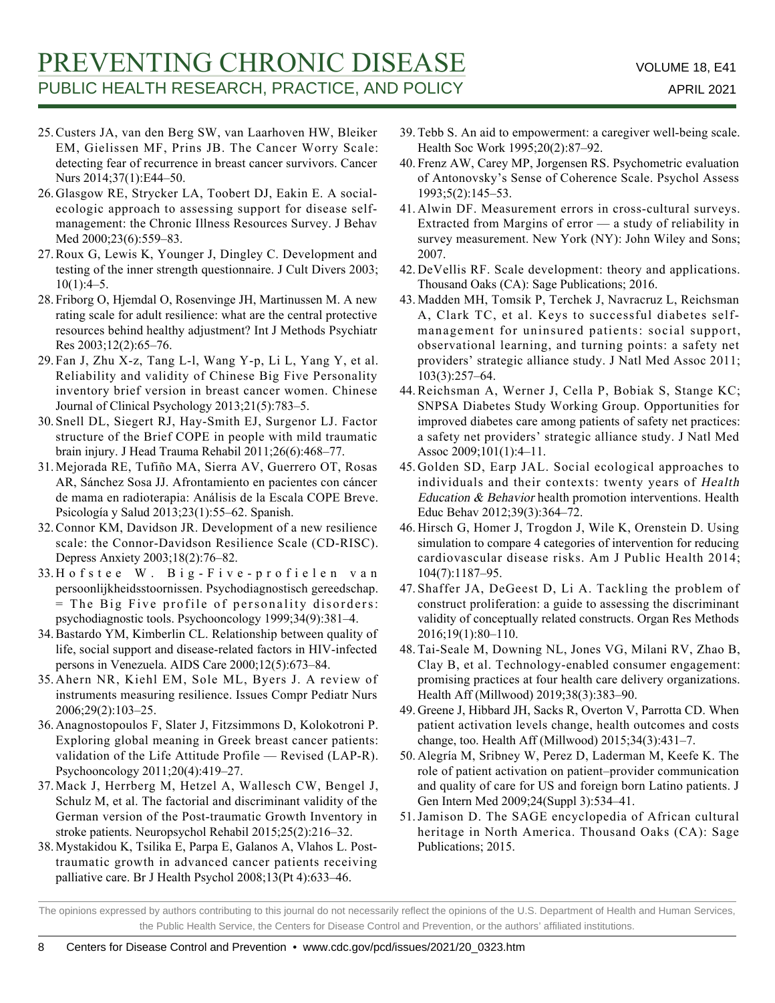- 25. Custers JA, van den Berg SW, van Laarhoven HW, Bleiker EM, Gielissen MF, Prins JB. The Cancer Worry Scale: detecting fear of recurrence in breast cancer survivors. Cancer Nurs 2014;37(1):E44–50.
- 26. Glasgow RE, Strycker LA, Toobert DJ, Eakin E. A socialecologic approach to assessing support for disease selfmanagement: the Chronic Illness Resources Survey. J Behav Med 2000;23(6):559–83.
- 27. Roux G, Lewis K, Younger J, Dingley C. Development and testing of the inner strength questionnaire. J Cult Divers 2003;  $10(1):4-5.$
- 28. Friborg O, Hjemdal O, Rosenvinge JH, Martinussen M. A new rating scale for adult resilience: what are the central protective resources behind healthy adjustment? Int J Methods Psychiatr Res 2003;12(2):65–76.
- Fan J, Zhu X-z, Tang L-l, Wang Y-p, Li L, Yang Y, et al. 29. Reliability and validity of Chinese Big Five Personality inventory brief version in breast cancer women. Chinese Journal of Clinical Psychology 2013;21(5):783–5.
- Snell DL, Siegert RJ, Hay-Smith EJ, Surgenor LJ. Factor 30. structure of the Brief COPE in people with mild traumatic brain injury. J Head Trauma Rehabil 2011;26(6):468–77.
- Mejorada RE, Tufiño MA, Sierra AV, Guerrero OT, Rosas 31. AR, Sánchez Sosa JJ. Afrontamiento en pacientes con cáncer de mama en radioterapia: Análisis de la Escala COPE Breve. Psicología y Salud 2013;23(1):55–62. Spanish.
- 32. Connor KM, Davidson JR. Development of a new resilience scale: the Connor-Davidson Resilience Scale (CD-RISC). Depress Anxiety 2003;18(2):76–82.
- Hofstee W. Big-Five-profielen van 33. persoonlijkheidsstoornissen. Psychodiagnostisch gereedschap. = The Big Five profile of personality disorders: psychodiagnostic tools. Psychooncology 1999;34(9):381–4.
- 34. Bastardo YM, Kimberlin CL. Relationship between quality of life, social support and disease-related factors in HIV-infected persons in Venezuela. AIDS Care 2000;12(5):673–84.
- 35. Ahern NR, Kiehl EM, Sole ML, Byers J. A review of instruments measuring resilience. Issues Compr Pediatr Nurs 2006;29(2):103–25.
- 36. Anagnostopoulos F, Slater J, Fitzsimmons D, Kolokotroni P. Exploring global meaning in Greek breast cancer patients: validation of the Life Attitude Profile — Revised (LAP-R). Psychooncology 2011;20(4):419–27.
- Mack J, Herrberg M, Hetzel A, Wallesch CW, Bengel J, 37. Schulz M, et al. The factorial and discriminant validity of the German version of the Post-traumatic Growth Inventory in stroke patients. Neuropsychol Rehabil 2015;25(2):216–32.
- 38. Mystakidou K, Tsilika E, Parpa E, Galanos A, Vlahos L. Posttraumatic growth in advanced cancer patients receiving palliative care. Br J Health Psychol 2008;13(Pt 4):633–46.
- Tebb S. An aid to empowerment: a caregiver well-being scale. 39. Health Soc Work 1995;20(2):87–92.
- 40. Frenz AW, Carey MP, Jorgensen RS. Psychometric evaluation of Antonovsky's Sense of Coherence Scale. Psychol Assess 1993;5(2):145–53.
- Alwin DF. Measurement errors in cross-cultural surveys. 41. Extracted from Margins of error — a study of reliability in survey measurement. New York (NY): John Wiley and Sons; 2007.
- DeVellis RF. Scale development: theory and applications. 42. Thousand Oaks (CA): Sage Publications; 2016.
- 43. Madden MH, Tomsik P, Terchek J, Navracruz L, Reichsman A, Clark TC, et al. Keys to successful diabetes selfmanagement for uninsured patients: social support, observational learning, and turning points: a safety net providers' strategic alliance study. J Natl Med Assoc 2011; 103(3):257–64.
- Reichsman A, Werner J, Cella P, Bobiak S, Stange KC; 44. SNPSA Diabetes Study Working Group. Opportunities for improved diabetes care among patients of safety net practices: a safety net providers' strategic alliance study. J Natl Med Assoc 2009;101(1):4–11.
- 45. Golden SD, Earp JAL. Social ecological approaches to individuals and their contexts: twenty years of Health Education & Behavior health promotion interventions. Health Educ Behav 2012;39(3):364–72.
- 46. Hirsch G, Homer J, Trogdon J, Wile K, Orenstein D. Using simulation to compare 4 categories of intervention for reducing cardiovascular disease risks. Am J Public Health 2014; 104(7):1187–95.
- 47. Shaffer JA, DeGeest D, Li A. Tackling the problem of construct proliferation: a guide to assessing the discriminant validity of conceptually related constructs. Organ Res Methods 2016;19(1):80–110.
- 48. Tai-Seale M, Downing NL, Jones VG, Milani RV, Zhao B, Clay B, et al. Technology-enabled consumer engagement: promising practices at four health care delivery organizations. Health Aff (Millwood) 2019;38(3):383–90.
- Greene J, Hibbard JH, Sacks R, Overton V, Parrotta CD. When 49. patient activation levels change, health outcomes and costs change, too. Health Aff (Millwood) 2015;34(3):431–7.
- 50. Alegría M, Sribney W, Perez D, Laderman M, Keefe K. The role of patient activation on patient–provider communication and quality of care for US and foreign born Latino patients. J Gen Intern Med 2009;24(Suppl 3):534–41.
- 51. Jamison D. The SAGE encyclopedia of African cultural heritage in North America. Thousand Oaks (CA): Sage Publications; 2015.

The opinions expressed by authors contributing to this journal do not necessarily reflect the opinions of the U.S. Department of Health and Human Services, the Public Health Service, the Centers for Disease Control and Prevention, or the authors' affiliated institutions.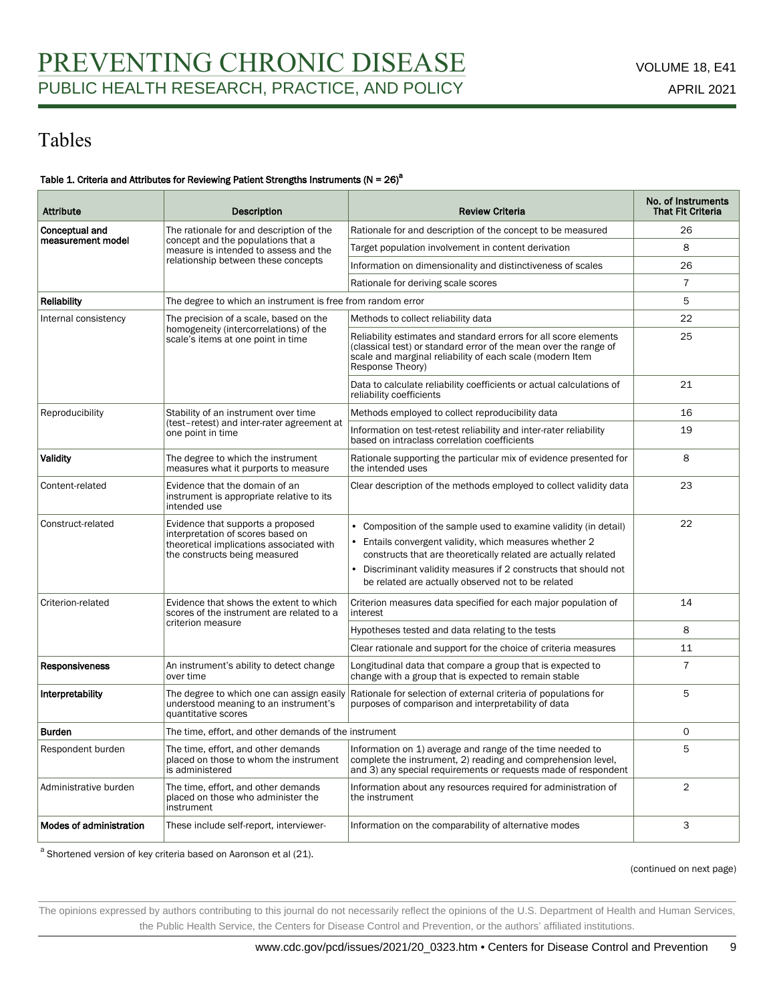# Tables

#### Table 1. Criteria and Attributes for Reviewing Patient Strengths Instruments (N =  $26)^a$

| <b>Attribute</b>        | <b>Description</b>                                                                                                                                  | <b>Review Criteria</b>                                                                                                                                                                                                                                                                                                           | No. of Instruments<br><b>That Fit Criteria</b> |
|-------------------------|-----------------------------------------------------------------------------------------------------------------------------------------------------|----------------------------------------------------------------------------------------------------------------------------------------------------------------------------------------------------------------------------------------------------------------------------------------------------------------------------------|------------------------------------------------|
| Conceptual and          | The rationale for and description of the                                                                                                            | Rationale for and description of the concept to be measured                                                                                                                                                                                                                                                                      | 26                                             |
| measurement model       | concept and the populations that a<br>measure is intended to assess and the                                                                         | Target population involvement in content derivation                                                                                                                                                                                                                                                                              | 8                                              |
|                         | relationship between these concepts                                                                                                                 | Information on dimensionality and distinctiveness of scales                                                                                                                                                                                                                                                                      | 26                                             |
|                         |                                                                                                                                                     | Rationale for deriving scale scores                                                                                                                                                                                                                                                                                              | $\overline{7}$                                 |
| <b>Reliability</b>      | The degree to which an instrument is free from random error                                                                                         |                                                                                                                                                                                                                                                                                                                                  | 5                                              |
| Internal consistency    | The precision of a scale, based on the                                                                                                              | Methods to collect reliability data                                                                                                                                                                                                                                                                                              | 22                                             |
|                         | homogeneity (intercorrelations) of the<br>scale's items at one point in time                                                                        | Reliability estimates and standard errors for all score elements<br>(classical test) or standard error of the mean over the range of<br>scale and marginal reliability of each scale (modern Item<br>Response Theory)                                                                                                            | 25                                             |
|                         |                                                                                                                                                     | Data to calculate reliability coefficients or actual calculations of<br>reliability coefficients                                                                                                                                                                                                                                 | 21                                             |
| Reproducibility         | Stability of an instrument over time                                                                                                                | Methods employed to collect reproducibility data                                                                                                                                                                                                                                                                                 | 16                                             |
|                         | (test-retest) and inter-rater agreement at<br>one point in time                                                                                     | Information on test-retest reliability and inter-rater reliability<br>based on intraclass correlation coefficients                                                                                                                                                                                                               | 19                                             |
| <b>Validity</b>         | The degree to which the instrument<br>measures what it purports to measure                                                                          | Rationale supporting the particular mix of evidence presented for<br>the intended uses                                                                                                                                                                                                                                           | 8                                              |
| Content-related         | Evidence that the domain of an<br>instrument is appropriate relative to its<br>intended use                                                         | Clear description of the methods employed to collect validity data                                                                                                                                                                                                                                                               | 23                                             |
| Construct-related       | Evidence that supports a proposed<br>interpretation of scores based on<br>theoretical implications associated with<br>the constructs being measured | Composition of the sample used to examine validity (in detail)<br>• Entails convergent validity, which measures whether 2<br>constructs that are theoretically related are actually related<br>$\bullet$<br>Discriminant validity measures if 2 constructs that should not<br>be related are actually observed not to be related | 22                                             |
| Criterion-related       | Evidence that shows the extent to which<br>scores of the instrument are related to a                                                                | Criterion measures data specified for each major population of<br>interest                                                                                                                                                                                                                                                       | 14                                             |
|                         | criterion measure                                                                                                                                   | Hypotheses tested and data relating to the tests                                                                                                                                                                                                                                                                                 | 8                                              |
|                         |                                                                                                                                                     | Clear rationale and support for the choice of criteria measures                                                                                                                                                                                                                                                                  | 11                                             |
| <b>Responsiveness</b>   | An instrument's ability to detect change<br>over time                                                                                               | Longitudinal data that compare a group that is expected to<br>change with a group that is expected to remain stable                                                                                                                                                                                                              | $\overline{7}$                                 |
| Interpretability        | The degree to which one can assign easily<br>understood meaning to an instrument's<br>quantitative scores                                           | Rationale for selection of external criteria of populations for<br>purposes of comparison and interpretability of data                                                                                                                                                                                                           | 5                                              |
| <b>Burden</b>           | The time, effort, and other demands of the instrument                                                                                               |                                                                                                                                                                                                                                                                                                                                  | 0                                              |
| Respondent burden       | The time, effort, and other demands<br>placed on those to whom the instrument<br>is administered                                                    | Information on 1) average and range of the time needed to<br>complete the instrument, 2) reading and comprehension level,<br>and 3) any special requirements or requests made of respondent                                                                                                                                      | 5                                              |
| Administrative burden   | The time, effort, and other demands<br>placed on those who administer the<br>instrument                                                             | Information about any resources required for administration of<br>the instrument                                                                                                                                                                                                                                                 | $\overline{2}$                                 |
| Modes of administration | These include self-report, interviewer-                                                                                                             | Information on the comparability of alternative modes                                                                                                                                                                                                                                                                            | 3                                              |

<sup>a</sup> Shortened version of key criteria based on Aaronson et al (21).

(continued on next page)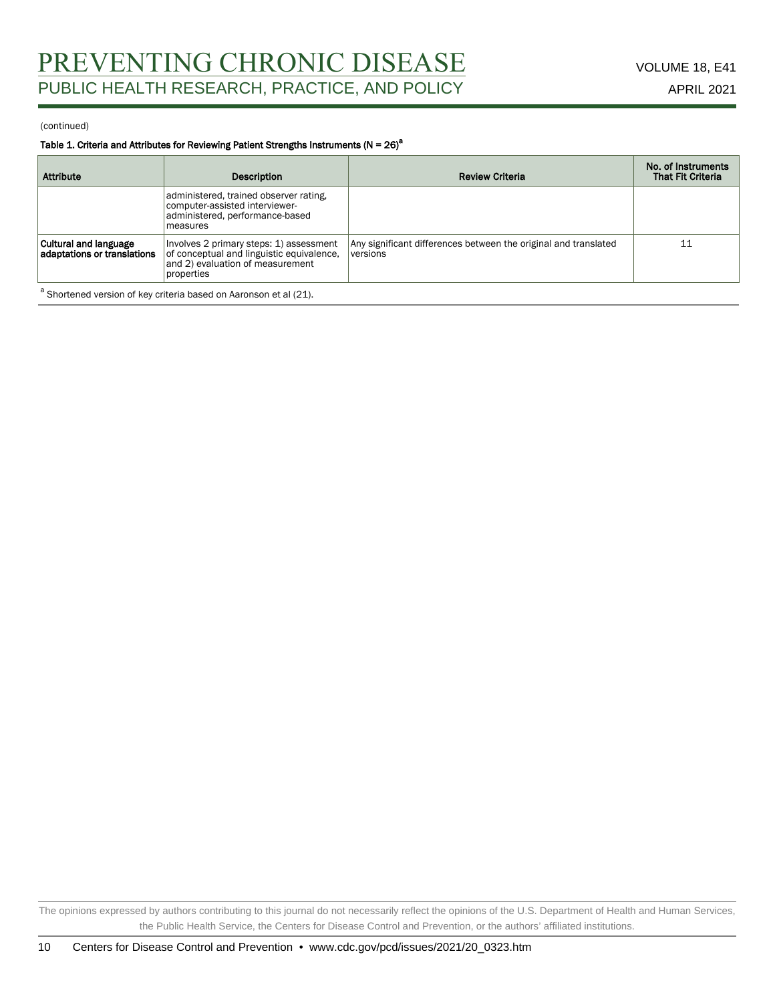#### Table 1. Criteria and Attributes for Reviewing Patient Strengths Instruments ( $N = 26$ )<sup>a</sup>

| <b>Attribute</b>                                                             | Description                                                                                                                            | <b>Review Criteria</b>                                                      | No. of Instruments<br><b>That Fit Criteria</b> |  |
|------------------------------------------------------------------------------|----------------------------------------------------------------------------------------------------------------------------------------|-----------------------------------------------------------------------------|------------------------------------------------|--|
|                                                                              | administered, trained observer rating,<br>computer-assisted interviewer-<br>administered, performance-based<br>measures                |                                                                             |                                                |  |
| <b>Cultural and language</b><br>adaptations or translations                  | Involves 2 primary steps: 1) assessment<br>of conceptual and linguistic equivalence.<br>and 2) evaluation of measurement<br>properties | Any significant differences between the original and translated<br>versions | 11                                             |  |
| <sup>a</sup> Shortened version of key criteria based on Aaronson et al (21). |                                                                                                                                        |                                                                             |                                                |  |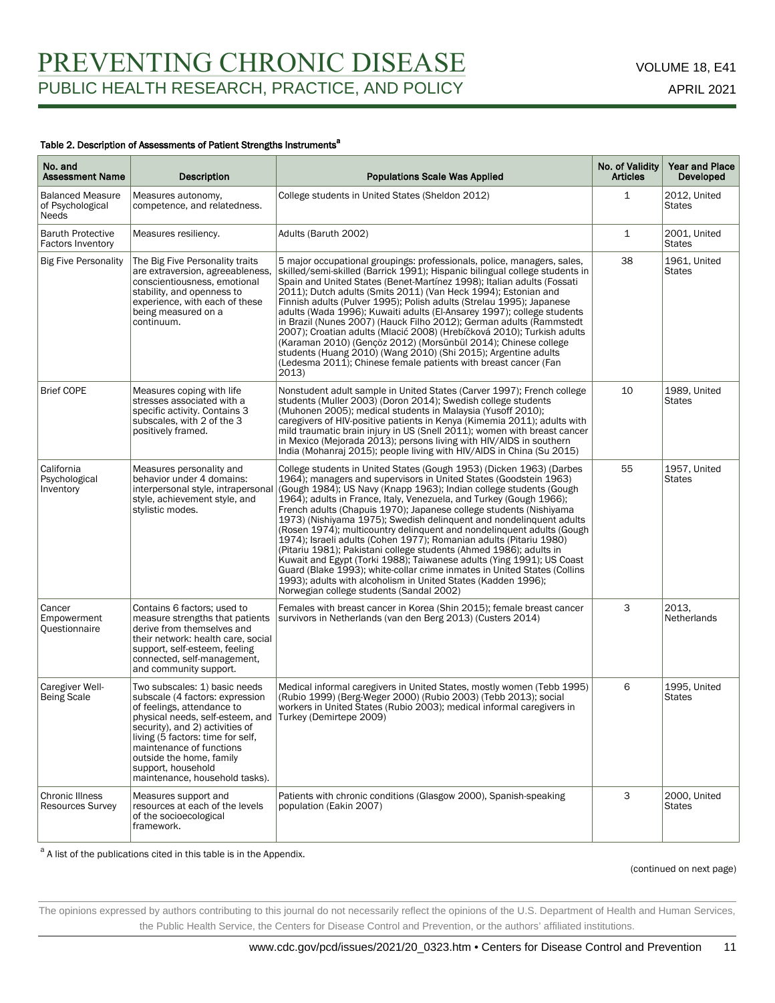#### Table 2. Description of Assessments of Patient Strengths Instruments<sup>a</sup>

| No. and<br><b>Assessment Name</b>                    | Description                                                                                                                                                                                                                                                                                                                | <b>Populations Scale Was Applied</b>                                                                                                                                                                                                                                                                                                                                                                                                                                                                                                                                                                                                                                                                                                                                                                                                                                                                                       | No. of Validity<br><b>Articles</b> | Year and Place<br>Developed   |
|------------------------------------------------------|----------------------------------------------------------------------------------------------------------------------------------------------------------------------------------------------------------------------------------------------------------------------------------------------------------------------------|----------------------------------------------------------------------------------------------------------------------------------------------------------------------------------------------------------------------------------------------------------------------------------------------------------------------------------------------------------------------------------------------------------------------------------------------------------------------------------------------------------------------------------------------------------------------------------------------------------------------------------------------------------------------------------------------------------------------------------------------------------------------------------------------------------------------------------------------------------------------------------------------------------------------------|------------------------------------|-------------------------------|
| <b>Balanced Measure</b><br>of Psychological<br>Needs | Measures autonomy,<br>competence, and relatedness.                                                                                                                                                                                                                                                                         | College students in United States (Sheldon 2012)                                                                                                                                                                                                                                                                                                                                                                                                                                                                                                                                                                                                                                                                                                                                                                                                                                                                           | 1                                  | 2012, United<br><b>States</b> |
| <b>Baruth Protective</b><br><b>Factors Inventory</b> | Measures resiliency.                                                                                                                                                                                                                                                                                                       | Adults (Baruth 2002)                                                                                                                                                                                                                                                                                                                                                                                                                                                                                                                                                                                                                                                                                                                                                                                                                                                                                                       | $\mathbf{1}$                       | 2001, United<br><b>States</b> |
| <b>Big Five Personality</b>                          | The Big Five Personality traits<br>are extraversion, agreeableness,<br>conscientiousness, emotional<br>stability, and openness to<br>experience, with each of these<br>being measured on a<br>continuum.                                                                                                                   | 5 major occupational groupings: professionals, police, managers, sales,<br>skilled/semi-skilled (Barrick 1991); Hispanic bilingual college students in<br>Spain and United States (Benet-Martínez 1998); Italian adults (Fossati<br>2011); Dutch adults (Smits 2011) (Van Heck 1994); Estonian and<br>Finnish adults (Pulver 1995); Polish adults (Strelau 1995); Japanese<br>adults (Wada 1996); Kuwaiti adults (El-Ansarey 1997); college students<br>in Brazil (Nunes 2007) (Hauck Filho 2012); German adults (Rammstedt<br>2007); Croatian adults (Mlacić 2008) (Hrebíčková 2010); Turkish adults<br>(Karaman 2010) (Gençöz 2012) (Morsünbül 2014); Chinese college<br>students (Huang 2010) (Wang 2010) (Shi 2015); Argentine adults<br>(Ledesma 2011); Chinese female patients with breast cancer (Fan<br>2013)                                                                                                      | 38                                 | 1961, United<br><b>States</b> |
| <b>Brief COPE</b>                                    | Measures coping with life<br>stresses associated with a<br>specific activity. Contains 3<br>subscales, with 2 of the 3<br>positively framed.                                                                                                                                                                               | Nonstudent adult sample in United States (Carver 1997); French college<br>students (Muller 2003) (Doron 2014); Swedish college students<br>(Muhonen 2005); medical students in Malaysia (Yusoff 2010);<br>caregivers of HIV-positive patients in Kenya (Kimemia 2011); adults with<br>mild traumatic brain injury in US (Snell 2011); women with breast cancer<br>in Mexico (Mejorada 2013); persons living with HIV/AIDS in southern<br>India (Mohanraj 2015); people living with HIV/AIDS in China (Su 2015)                                                                                                                                                                                                                                                                                                                                                                                                             | 10                                 | 1989, United<br><b>States</b> |
| California<br>Psychological<br>Inventory             | Measures personality and<br>behavior under 4 domains:<br>interpersonal style, intrapersonal<br>style, achievement style, and<br>stylistic modes.                                                                                                                                                                           | College students in United States (Gough 1953) (Dicken 1963) (Darbes<br>1964); managers and supervisors in United States (Goodstein 1963)<br>(Gough 1984); US Navy (Knapp 1963); Indian college students (Gough<br>1964); adults in France, Italy, Venezuela, and Turkey (Gough 1966);<br>French adults (Chapuis 1970); Japanese college students (Nishiyama<br>1973) (Nishiyama 1975); Swedish delinquent and nondelinquent adults<br>(Rosen 1974); multicountry delinguent and nondelinguent adults (Gough<br>1974); Israeli adults (Cohen 1977); Romanian adults (Pitariu 1980)<br>(Pitariu 1981); Pakistani college students (Ahmed 1986); adults in<br>Kuwait and Egypt (Torki 1988); Taiwanese adults (Ying 1991); US Coast<br>Guard (Blake 1993); white-collar crime inmates in United States (Collins<br>1993); adults with alcoholism in United States (Kadden 1996);<br>Norwegian college students (Sandal 2002) | 55                                 | 1957, United<br><b>States</b> |
| Cancer<br>Empowerment<br>Questionnaire               | Contains 6 factors; used to<br>measure strengths that patients<br>derive from themselves and<br>their network: health care, social<br>support, self-esteem, feeling<br>connected, self-management,<br>and community support.                                                                                               | Females with breast cancer in Korea (Shin 2015); female breast cancer<br>survivors in Netherlands (van den Berg 2013) (Custers 2014)                                                                                                                                                                                                                                                                                                                                                                                                                                                                                                                                                                                                                                                                                                                                                                                       | 3                                  | 2013.<br><b>Netherlands</b>   |
| Caregiver Well-<br><b>Being Scale</b>                | Two subscales: 1) basic needs<br>subscale (4 factors: expression<br>of feelings, attendance to<br>physical needs, self-esteem, and<br>security), and 2) activities of<br>living (5 factors: time for self,<br>maintenance of functions<br>outside the home, family<br>support, household<br>maintenance, household tasks). | Medical informal caregivers in United States, mostly women (Tebb 1995)<br>(Rubio 1999) (Berg-Weger 2000) (Rubio 2003) (Tebb 2013); social<br>workers in United States (Rubio 2003); medical informal caregivers in<br>Turkey (Demirtepe 2009)                                                                                                                                                                                                                                                                                                                                                                                                                                                                                                                                                                                                                                                                              | 6                                  | 1995, United<br><b>States</b> |
| <b>Chronic Illness</b><br><b>Resources Survey</b>    | Measures support and<br>resources at each of the levels<br>of the socioecological<br>framework.                                                                                                                                                                                                                            | Patients with chronic conditions (Glasgow 2000), Spanish-speaking<br>population (Eakin 2007)                                                                                                                                                                                                                                                                                                                                                                                                                                                                                                                                                                                                                                                                                                                                                                                                                               | 3                                  | 2000, United<br><b>States</b> |

<sup>a</sup> A list of the publications cited in this table is in the Appendix.

#### (continued on next page)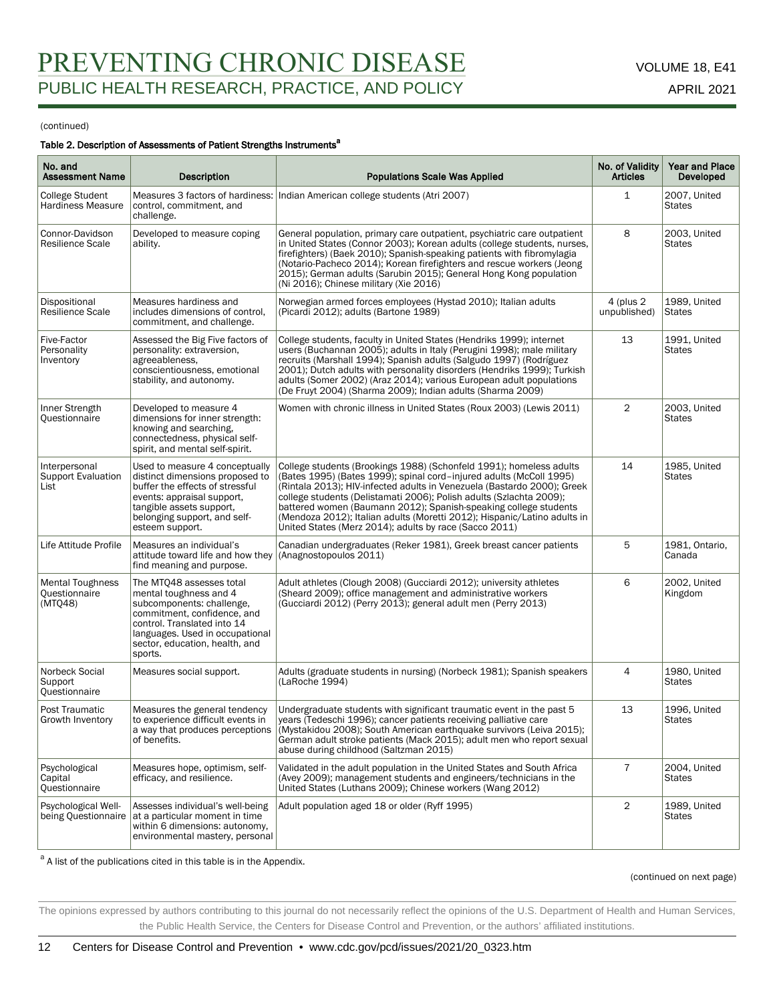#### Table 2. Description of Assessments of Patient Strengths Instruments<sup>a</sup>

| No. and<br><b>Assessment Name</b>                   | <b>Description</b>                                                                                                                                                                                                            | <b>Populations Scale Was Applied</b>                                                                                                                                                                                                                                                                                                                                                                                                                                                                   | No. of Validity<br><b>Articles</b> | <b>Year and Place</b><br><b>Developed</b> |
|-----------------------------------------------------|-------------------------------------------------------------------------------------------------------------------------------------------------------------------------------------------------------------------------------|--------------------------------------------------------------------------------------------------------------------------------------------------------------------------------------------------------------------------------------------------------------------------------------------------------------------------------------------------------------------------------------------------------------------------------------------------------------------------------------------------------|------------------------------------|-------------------------------------------|
| College Student<br>Hardiness Measure                | control, commitment, and<br>challenge.                                                                                                                                                                                        | Measures 3 factors of hardiness: Indian American college students (Atri 2007)                                                                                                                                                                                                                                                                                                                                                                                                                          | $\mathbf{1}$                       | 2007, United<br><b>States</b>             |
| Connor-Davidson<br>Resilience Scale                 | Developed to measure coping<br>ability.                                                                                                                                                                                       | General population, primary care outpatient, psychiatric care outpatient<br>in United States (Connor 2003); Korean adults (college students, nurses,<br>firefighters) (Baek 2010); Spanish-speaking patients with fibromylagia<br>(Notario-Pacheco 2014); Korean firefighters and rescue workers (Jeong<br>2015); German adults (Sarubin 2015); General Hong Kong population<br>(Ni 2016); Chinese military (Xie 2016)                                                                                 | 8                                  | 2003, United<br><b>States</b>             |
| Dispositional<br>Resilience Scale                   | Measures hardiness and<br>includes dimensions of control.<br>commitment, and challenge.                                                                                                                                       | Norwegian armed forces employees (Hystad 2010); Italian adults<br>(Picardi 2012); adults (Bartone 1989)                                                                                                                                                                                                                                                                                                                                                                                                | 4 (plus 2)<br>unpublished)         | 1989, United<br><b>States</b>             |
| Five-Factor<br>Personality<br>Inventory             | Assessed the Big Five factors of<br>personality: extraversion,<br>agreeableness,<br>conscientiousness, emotional<br>stability, and autonomy.                                                                                  | College students, faculty in United States (Hendriks 1999); internet<br>users (Buchannan 2005); adults in Italy (Perugini 1998); male military<br>recruits (Marshall 1994); Spanish adults (Salgudo 1997) (Rodríguez<br>2001); Dutch adults with personality disorders (Hendriks 1999); Turkish<br>adults (Somer 2002) (Araz 2014); various European adult populations<br>(De Fruyt 2004) (Sharma 2009); Indian adults (Sharma 2009)                                                                   | 13                                 | 1991, United<br><b>States</b>             |
| Inner Strength<br>Ouestionnaire                     | Developed to measure 4<br>dimensions for inner strength:<br>knowing and searching,<br>connectedness, physical self-<br>spirit, and mental self-spirit.                                                                        | Women with chronic illness in United States (Roux 2003) (Lewis 2011)                                                                                                                                                                                                                                                                                                                                                                                                                                   | $\overline{2}$                     | 2003, United<br><b>States</b>             |
| Interpersonal<br><b>Support Evaluation</b><br>List  | Used to measure 4 conceptually<br>distinct dimensions proposed to<br>buffer the effects of stressful<br>events: appraisal support,<br>tangible assets support,<br>belonging support, and self-<br>esteem support.             | College students (Brookings 1988) (Schonfeld 1991); homeless adults<br>(Bates 1995) (Bates 1999); spinal cord-injured adults (McColl 1995)<br>(Rintala 2013); HIV-infected adults in Venezuela (Bastardo 2000); Greek<br>college students (Delistamati 2006); Polish adults (Szlachta 2009);<br>battered women (Baumann 2012); Spanish-speaking college students<br>(Mendoza 2012); Italian adults (Moretti 2012); Hispanic/Latino adults in<br>United States (Merz 2014); adults by race (Sacco 2011) | 14                                 | 1985, United<br><b>States</b>             |
| Life Attitude Profile                               | Measures an individual's<br>attitude toward life and how they<br>find meaning and purpose.                                                                                                                                    | Canadian undergraduates (Reker 1981), Greek breast cancer patients<br>(Anagnostopoulos 2011)                                                                                                                                                                                                                                                                                                                                                                                                           | 5                                  | 1981, Ontario,<br>Canada                  |
| <b>Mental Toughness</b><br>Questionnaire<br>(MTQ48) | The MTQ48 assesses total<br>mental toughness and 4<br>subcomponents: challenge,<br>commitment, confidence, and<br>control. Translated into 14<br>languages. Used in occupational<br>sector, education, health, and<br>sports. | Adult athletes (Clough 2008) (Gucciardi 2012); university athletes<br>(Sheard 2009); office management and administrative workers<br>(Gucciardi 2012) (Perry 2013); general adult men (Perry 2013)                                                                                                                                                                                                                                                                                                     | 6                                  | 2002, United<br>Kingdom                   |
| Norbeck Social<br>Support<br>Questionnaire          | Measures social support.                                                                                                                                                                                                      | Adults (graduate students in nursing) (Norbeck 1981); Spanish speakers<br>(LaRoche 1994)                                                                                                                                                                                                                                                                                                                                                                                                               | 4                                  | 1980. United<br><b>States</b>             |
| Post Traumatic<br>Growth Inventory                  | Measures the general tendency<br>to experience difficult events in<br>a way that produces perceptions<br>of benefits.                                                                                                         | Undergraduate students with significant traumatic event in the past 5<br>years (Tedeschi 1996); cancer patients receiving palliative care<br>(Mystakidou 2008); South American earthquake survivors (Leiva 2015);<br>German adult stroke patients (Mack 2015); adult men who report sexual<br>abuse during childhood (Saltzman 2015)                                                                                                                                                                   | 13                                 | 1996, United<br><b>States</b>             |
| Psychological<br>Capital<br>Questionnaire           | Measures hope, optimism, self-<br>efficacy, and resilience.                                                                                                                                                                   | Validated in the adult population in the United States and South Africa<br>(Avey 2009); management students and engineers/technicians in the<br>United States (Luthans 2009); Chinese workers (Wang 2012)                                                                                                                                                                                                                                                                                              | 7                                  | 2004, United<br><b>States</b>             |
| Psychological Well-                                 | Assesses individual's well-being<br>being Questionnaire   at a particular moment in time<br>within 6 dimensions: autonomy,<br>environmental mastery, personal                                                                 | Adult population aged 18 or older (Ryff 1995)                                                                                                                                                                                                                                                                                                                                                                                                                                                          | $\overline{2}$                     | 1989, United<br><b>States</b>             |

<sup>a</sup> A list of the publications cited in this table is in the Appendix.

#### (continued on next page)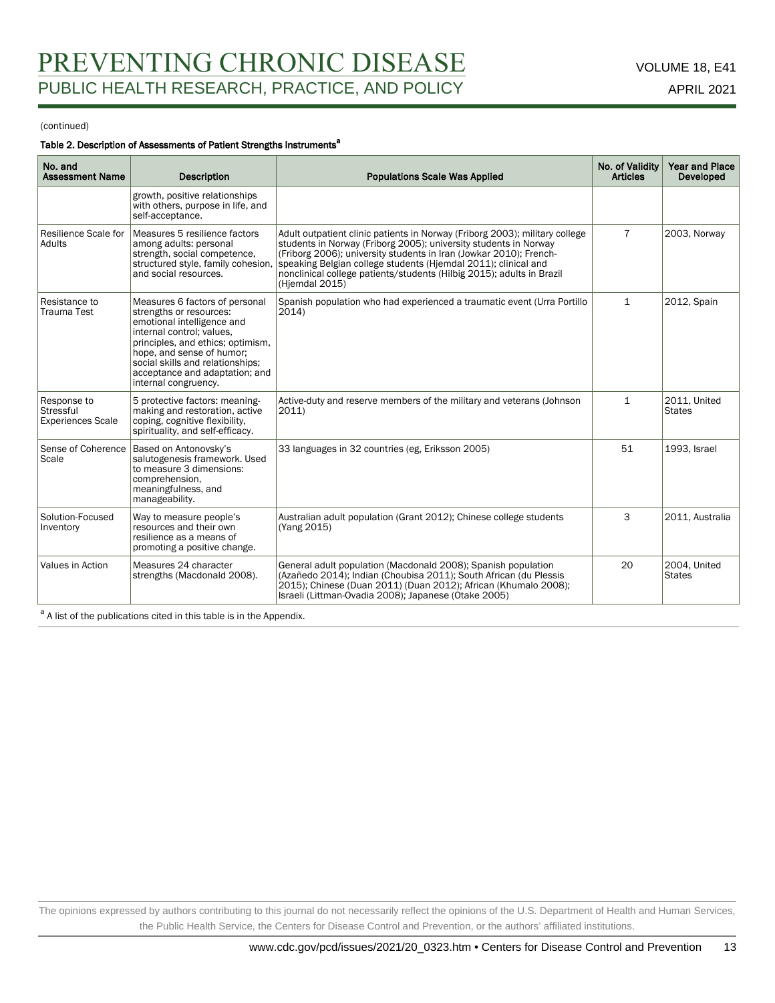#### Table 2. Description of Assessments of Patient Strengths Instruments<sup>a</sup>

| No. and<br><b>Assessment Name</b>                    | <b>Description</b>                                                                                                                                                                                                                                                                   | <b>Populations Scale Was Applied</b>                                                                                                                                                                                                                                                                                                                                               | No. of Validity<br><b>Articles</b> | <b>Year and Place</b><br>Developed |
|------------------------------------------------------|--------------------------------------------------------------------------------------------------------------------------------------------------------------------------------------------------------------------------------------------------------------------------------------|------------------------------------------------------------------------------------------------------------------------------------------------------------------------------------------------------------------------------------------------------------------------------------------------------------------------------------------------------------------------------------|------------------------------------|------------------------------------|
|                                                      | growth, positive relationships<br>with others, purpose in life, and<br>self-acceptance.                                                                                                                                                                                              |                                                                                                                                                                                                                                                                                                                                                                                    |                                    |                                    |
| Resilience Scale for<br>Adults                       | Measures 5 resilience factors<br>among adults: personal<br>strength, social competence,<br>structured style, family cohesion,<br>and social resources.                                                                                                                               | Adult outpatient clinic patients in Norway (Friborg 2003); military college<br>students in Norway (Friborg 2005); university students in Norway<br>(Friborg 2006); university students in Iran (Jowkar 2010); French-<br>speaking Belgian college students (Hjemdal 2011); clinical and<br>nonclinical college patients/students (Hilbig 2015); adults in Brazil<br>(Hjemdal 2015) | $\overline{7}$                     | 2003, Norway                       |
| Resistance to<br>Trauma Test                         | Measures 6 factors of personal<br>strengths or resources:<br>emotional intelligence and<br>internal control: values.<br>principles, and ethics; optimism,<br>hope, and sense of humor;<br>social skills and relationships;<br>acceptance and adaptation; and<br>internal congruency. | Spanish population who had experienced a traumatic event (Urra Portillo<br>2014)                                                                                                                                                                                                                                                                                                   | $\mathbf{1}$                       | 2012, Spain                        |
| Response to<br>Stressful<br><b>Experiences Scale</b> | 5 protective factors: meaning-<br>making and restoration, active<br>coping, cognitive flexibility,<br>spirituality, and self-efficacy.                                                                                                                                               | Active-duty and reserve members of the military and veterans (Johnson<br>2011                                                                                                                                                                                                                                                                                                      | $\mathbf{1}$                       | 2011, United<br><b>States</b>      |
| Sense of Coherence<br>Scale                          | Based on Antonovsky's<br>salutogenesis framework. Used<br>to measure 3 dimensions:<br>comprehension,<br>meaningfulness, and<br>manageability.                                                                                                                                        | 33 languages in 32 countries (eg. Eriksson 2005)                                                                                                                                                                                                                                                                                                                                   | 51                                 | 1993, Israel                       |
| Solution-Focused<br>Inventory                        | Way to measure people's<br>resources and their own<br>resilience as a means of<br>promoting a positive change.                                                                                                                                                                       | Australian adult population (Grant 2012); Chinese college students<br>(Yang 2015)                                                                                                                                                                                                                                                                                                  | 3                                  | 2011, Australia                    |
| Values in Action                                     | Measures 24 character<br>strengths (Macdonald 2008).                                                                                                                                                                                                                                 | General adult population (Macdonald 2008); Spanish population<br>(Azañedo 2014); Indian (Choubisa 2011); South African (du Plessis<br>2015); Chinese (Duan 2011) (Duan 2012); African (Khumalo 2008);<br>Israeli (Littman-Ovadia 2008); Japanese (Otake 2005)                                                                                                                      | 20                                 | 2004, United<br><b>States</b>      |

<sup>a</sup> A list of the publications cited in this table is in the Appendix.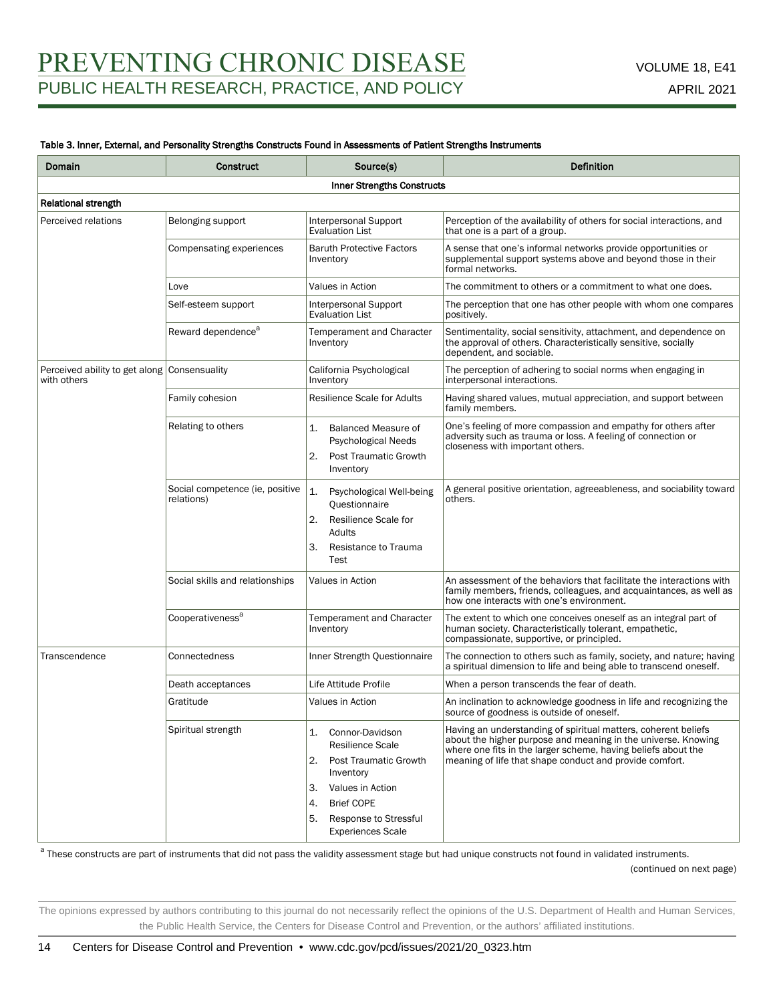#### Table 3. Inner, External, and Personality Strengths Constructs Found in Assessments of Patient Strengths Instruments

| Domain                                                      | <b>Construct</b>                              | Source(s)                                                                                                                                                                                                           | <b>Definition</b>                                                                                                                                                                                                                                           |
|-------------------------------------------------------------|-----------------------------------------------|---------------------------------------------------------------------------------------------------------------------------------------------------------------------------------------------------------------------|-------------------------------------------------------------------------------------------------------------------------------------------------------------------------------------------------------------------------------------------------------------|
|                                                             |                                               | Inner Strengths Constructs                                                                                                                                                                                          |                                                                                                                                                                                                                                                             |
| Relational strength                                         |                                               |                                                                                                                                                                                                                     |                                                                                                                                                                                                                                                             |
| Perceived relations                                         | Belonging support                             | Interpersonal Support<br>Evaluation List                                                                                                                                                                            | Perception of the availability of others for social interactions, and<br>that one is a part of a group.                                                                                                                                                     |
|                                                             | Compensating experiences                      | <b>Baruth Protective Factors</b><br>Inventory                                                                                                                                                                       | A sense that one's informal networks provide opportunities or<br>supplemental support systems above and beyond those in their<br>formal networks.                                                                                                           |
|                                                             | Love                                          | Values in Action                                                                                                                                                                                                    | The commitment to others or a commitment to what one does.                                                                                                                                                                                                  |
|                                                             | Self-esteem support                           | Interpersonal Support<br><b>Evaluation List</b>                                                                                                                                                                     | The perception that one has other people with whom one compares<br>positively.                                                                                                                                                                              |
|                                                             | Reward dependence <sup>a</sup>                | <b>Temperament and Character</b><br>Inventory                                                                                                                                                                       | Sentimentality, social sensitivity, attachment, and dependence on<br>the approval of others. Characteristically sensitive, socially<br>dependent, and sociable.                                                                                             |
| Perceived ability to get along Consensuality<br>with others |                                               | California Psychological<br>Inventory                                                                                                                                                                               | The perception of adhering to social norms when engaging in<br>interpersonal interactions.                                                                                                                                                                  |
|                                                             | Family cohesion                               | <b>Resilience Scale for Adults</b>                                                                                                                                                                                  | Having shared values, mutual appreciation, and support between<br>family members.                                                                                                                                                                           |
|                                                             | Relating to others                            | 1.<br>Balanced Measure of<br>Psychological Needs<br>2.<br><b>Post Traumatic Growth</b><br>Inventory                                                                                                                 | One's feeling of more compassion and empathy for others after<br>adversity such as trauma or loss. A feeling of connection or<br>closeness with important others.                                                                                           |
|                                                             | Social competence (ie, positive<br>relations) | 1.<br>Psychological Well-being<br>Questionnaire<br>2.<br>Resilience Scale for<br>Adults<br>З.<br>Resistance to Trauma<br>Test                                                                                       | A general positive orientation, agreeableness, and sociability toward<br>others.                                                                                                                                                                            |
|                                                             | Social skills and relationships               | Values in Action                                                                                                                                                                                                    | An assessment of the behaviors that facilitate the interactions with<br>family members, friends, colleagues, and acquaintances, as well as<br>how one interacts with one's environment.                                                                     |
|                                                             | Cooperativeness <sup>a</sup>                  | Temperament and Character<br>Inventory                                                                                                                                                                              | The extent to which one conceives oneself as an integral part of<br>human society. Characteristically tolerant, empathetic,<br>compassionate, supportive, or principled.                                                                                    |
| Transcendence                                               | Connectedness                                 | Inner Strength Questionnaire                                                                                                                                                                                        | The connection to others such as family, society, and nature; having<br>a spiritual dimension to life and being able to transcend oneself.                                                                                                                  |
|                                                             | Death acceptances                             | Life Attitude Profile                                                                                                                                                                                               | When a person transcends the fear of death.                                                                                                                                                                                                                 |
|                                                             | Gratitude                                     | Values in Action                                                                                                                                                                                                    | An inclination to acknowledge goodness in life and recognizing the<br>source of goodness is outside of oneself.                                                                                                                                             |
|                                                             | Spiritual strength                            | 1.<br>Connor-Davidson<br><b>Resilience Scale</b><br><b>Post Traumatic Growth</b><br>2.<br>Inventory<br>Values in Action<br>3.<br><b>Brief COPE</b><br>4.<br>5.<br>Response to Stressful<br><b>Experiences Scale</b> | Having an understanding of spiritual matters, coherent beliefs<br>about the higher purpose and meaning in the universe. Knowing<br>where one fits in the larger scheme, having beliefs about the<br>meaning of life that shape conduct and provide comfort. |

<sup>a</sup> These constructs are part of instruments that did not pass the validity assessment stage but had unique constructs not found in validated instruments.

(continued on next page)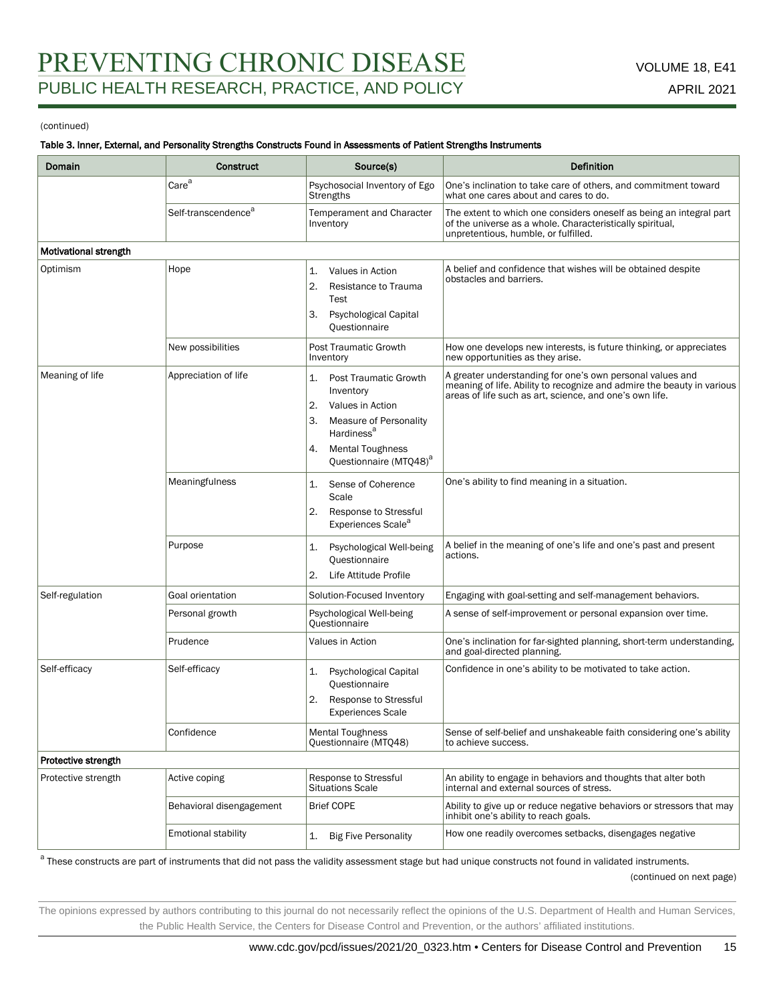### Table 3. Inner, External, and Personality Strengths Constructs Found in Assessments of Patient Strengths Instruments

| Domain                | <b>Construct</b>                | Source(s)                                                                                                                                                                                           | Definition                                                                                                                                                                                     |
|-----------------------|---------------------------------|-----------------------------------------------------------------------------------------------------------------------------------------------------------------------------------------------------|------------------------------------------------------------------------------------------------------------------------------------------------------------------------------------------------|
|                       | Care <sup>a</sup>               | Psychosocial Inventory of Ego<br>Strengths                                                                                                                                                          | One's inclination to take care of others, and commitment toward<br>what one cares about and cares to do.                                                                                       |
|                       | Self-transcendence <sup>a</sup> | Temperament and Character<br>Inventory                                                                                                                                                              | The extent to which one considers oneself as being an integral part<br>of the universe as a whole. Characteristically spiritual,<br>unpretentious, humble, or fulfilled.                       |
| Motivational strength |                                 |                                                                                                                                                                                                     |                                                                                                                                                                                                |
| Optimism              | Hope                            | Values in Action<br>1.<br>2.<br>Resistance to Trauma<br>Test<br>3.<br>Psychological Capital<br>Questionnaire                                                                                        | A belief and confidence that wishes will be obtained despite<br>obstacles and barriers.                                                                                                        |
|                       | New possibilities               | Post Traumatic Growth<br>Inventory                                                                                                                                                                  | How one develops new interests, is future thinking, or appreciates<br>new opportunities as they arise.                                                                                         |
| Meaning of life       | Appreciation of life            | Post Traumatic Growth<br>1.<br>Inventory<br>2.<br>Values in Action<br>З.<br>Measure of Personality<br>Hardiness <sup>a</sup><br><b>Mental Toughness</b><br>4.<br>Questionnaire (MTQ48) <sup>a</sup> | A greater understanding for one's own personal values and<br>meaning of life. Ability to recognize and admire the beauty in various<br>areas of life such as art, science, and one's own life. |
|                       | Meaningfulness                  | Sense of Coherence<br>1.<br>Scale<br>2.<br>Response to Stressful<br>Experiences Scale <sup>a</sup>                                                                                                  | One's ability to find meaning in a situation.                                                                                                                                                  |
|                       | Purpose                         | Psychological Well-being<br>1.<br>Questionnaire<br>Life Attitude Profile<br>2.                                                                                                                      | A belief in the meaning of one's life and one's past and present<br>actions.                                                                                                                   |
| Self-regulation       | Goal orientation                | Solution-Focused Inventory                                                                                                                                                                          | Engaging with goal-setting and self-management behaviors.                                                                                                                                      |
|                       | Personal growth                 | Psychological Well-being<br><b>Questionnaire</b>                                                                                                                                                    | A sense of self-improvement or personal expansion over time.                                                                                                                                   |
|                       | Prudence                        | Values in Action                                                                                                                                                                                    | One's inclination for far-sighted planning, short-term understanding,<br>and goal-directed planning.                                                                                           |
| Self-efficacy         | Self-efficacy                   | <b>Psychological Capital</b><br>1.<br>Questionnaire<br>2.<br>Response to Stressful<br><b>Experiences Scale</b>                                                                                      | Confidence in one's ability to be motivated to take action.                                                                                                                                    |
|                       | Confidence                      | <b>Mental Toughness</b><br>Questionnaire (MTQ48)                                                                                                                                                    | Sense of self-belief and unshakeable faith considering one's ability<br>to achieve success.                                                                                                    |
| Protective strength   |                                 |                                                                                                                                                                                                     |                                                                                                                                                                                                |
| Protective strength   | Active coping                   | Response to Stressful<br><b>Situations Scale</b>                                                                                                                                                    | An ability to engage in behaviors and thoughts that alter both<br>internal and external sources of stress.                                                                                     |
|                       | Behavioral disengagement        | <b>Brief COPE</b>                                                                                                                                                                                   | Ability to give up or reduce negative behaviors or stressors that may<br>inhibit one's ability to reach goals.                                                                                 |
|                       | <b>Emotional stability</b>      | <b>Big Five Personality</b><br>1.                                                                                                                                                                   | How one readily overcomes setbacks, disengages negative                                                                                                                                        |

<sup>a</sup> These constructs are part of instruments that did not pass the validity assessment stage but had unique constructs not found in validated instruments.

(continued on next page)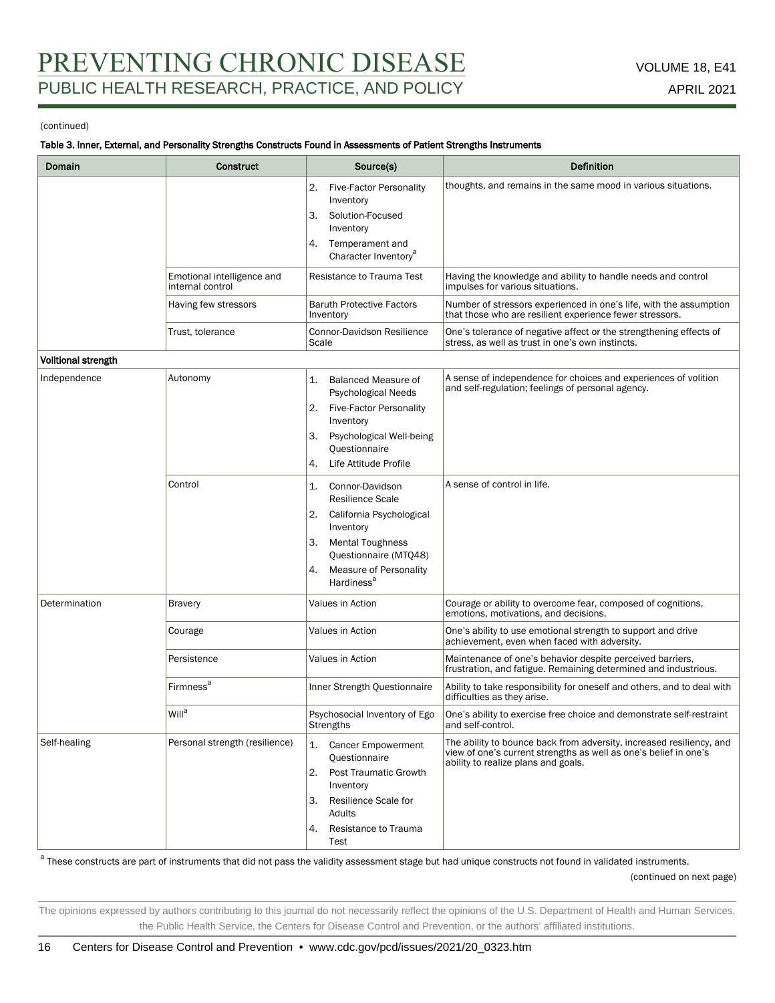#### Table 3. Inner, External, and Personality Strengths Constructs Found in Assessments of Patient Strengths Instruments

| Domain              | Construct                                      | Source(s)                                                                                                                                                                                                           | <b>Definition</b>                                                                                                                                                               |
|---------------------|------------------------------------------------|---------------------------------------------------------------------------------------------------------------------------------------------------------------------------------------------------------------------|---------------------------------------------------------------------------------------------------------------------------------------------------------------------------------|
|                     |                                                | <b>Five-Factor Personality</b><br>2.<br>Inventory<br>З.<br>Solution-Focused<br>Inventory<br>4.<br>Temperament and<br>Character Inventory <sup>a</sup>                                                               | thoughts, and remains in the same mood in various situations.                                                                                                                   |
|                     | Emotional intelligence and<br>internal control | Resistance to Trauma Test                                                                                                                                                                                           | Having the knowledge and ability to handle needs and control<br>impulses for various situations.                                                                                |
|                     | Having few stressors                           | <b>Baruth Protective Factors</b><br>Inventory                                                                                                                                                                       | Number of stressors experienced in one's life, with the assumption<br>that those who are resilient experience fewer stressors.                                                  |
|                     | Trust, tolerance                               | Connor-Davidson Resilience<br>Scale                                                                                                                                                                                 | One's tolerance of negative affect or the strengthening effects of<br>stress, as well as trust in one's own instincts.                                                          |
| Volitional strength |                                                |                                                                                                                                                                                                                     |                                                                                                                                                                                 |
| Independence        | Autonomy                                       | <b>Balanced Measure of</b><br>1.<br>Psychological Needs<br><b>Five-Factor Personality</b><br>2.<br>Inventory<br>Psychological Well-being<br>З.<br>Questionnaire<br>Life Attitude Profile<br>4.                      | A sense of independence for choices and experiences of volition<br>and self-regulation; feelings of personal agency.                                                            |
|                     | Control                                        | Connor-Davidson<br>1.<br><b>Resilience Scale</b><br>California Psychological<br>2.<br>Inventory<br><b>Mental Toughness</b><br>З.<br>Questionnaire (MTQ48)<br>Measure of Personality<br>4.<br>Hardiness <sup>a</sup> | A sense of control in life.                                                                                                                                                     |
| Determination       | <b>Bravery</b>                                 | Values in Action                                                                                                                                                                                                    | Courage or ability to overcome fear, composed of cognitions,<br>emotions, motivations, and decisions.                                                                           |
|                     | Courage                                        | Values in Action                                                                                                                                                                                                    | One's ability to use emotional strength to support and drive<br>achievement, even when faced with adversity.                                                                    |
|                     | Persistence                                    | Values in Action                                                                                                                                                                                                    | Maintenance of one's behavior despite perceived barriers,<br>frustration, and fatigue. Remaining determined and industrious.                                                    |
|                     | <b>Firmness<sup>a</sup></b>                    | Inner Strength Questionnaire                                                                                                                                                                                        | Ability to take responsibility for oneself and others, and to deal with<br>difficulties as they arise.                                                                          |
|                     | Will <sup>a</sup>                              | Psychosocial Inventory of Ego<br>Strengths                                                                                                                                                                          | One's ability to exercise free choice and demonstrate self-restraint<br>and self-control.                                                                                       |
| Self-healing        | Personal strength (resilience)                 | <b>Cancer Empowerment</b><br>1.<br>Questionnaire<br>2.<br><b>Post Traumatic Growth</b><br>Inventory<br>Resilience Scale for<br>З.<br>Adults<br>Resistance to Trauma<br>4.<br>Test                                   | The ability to bounce back from adversity, increased resiliency, and<br>view of one's current strengths as well as one's belief in one's<br>ability to realize plans and goals. |

<sup>a</sup> These constructs are part of instruments that did not pass the validity assessment stage but had unique constructs not found in validated instruments.

(continued on next page)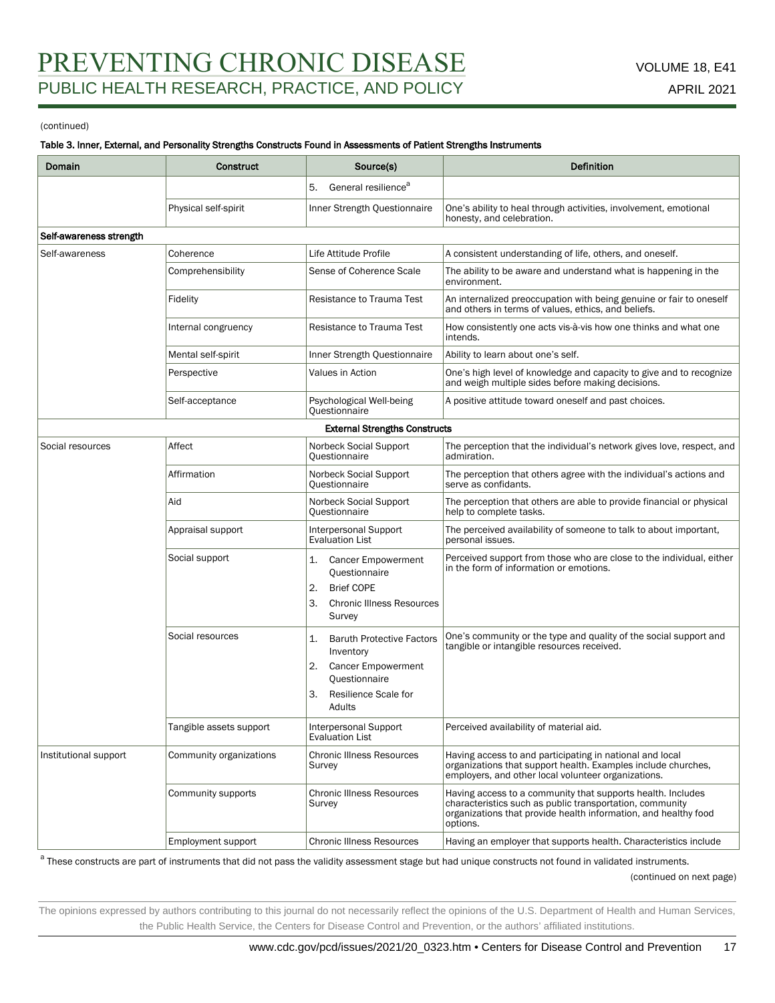#### Table 3. Inner, External, and Personality Strengths Constructs Found in Assessments of Patient Strengths Instruments

| Domain                  | <b>Construct</b>        | Source(s)                                                                                                                                       | <b>Definition</b>                                                                                                                                                                                      |
|-------------------------|-------------------------|-------------------------------------------------------------------------------------------------------------------------------------------------|--------------------------------------------------------------------------------------------------------------------------------------------------------------------------------------------------------|
|                         |                         | General resilience <sup>a</sup><br>5.                                                                                                           |                                                                                                                                                                                                        |
|                         | Physical self-spirit    | Inner Strength Questionnaire                                                                                                                    | One's ability to heal through activities, involvement, emotional<br>honesty, and celebration.                                                                                                          |
| Self-awareness strength |                         |                                                                                                                                                 |                                                                                                                                                                                                        |
| Self-awareness          | Coherence               | Life Attitude Profile                                                                                                                           | A consistent understanding of life, others, and oneself.                                                                                                                                               |
|                         | Comprehensibility       | Sense of Coherence Scale                                                                                                                        | The ability to be aware and understand what is happening in the<br>environment.                                                                                                                        |
|                         | Fidelity                | Resistance to Trauma Test                                                                                                                       | An internalized preoccupation with being genuine or fair to oneself<br>and others in terms of values, ethics, and beliefs.                                                                             |
|                         | Internal congruency     | Resistance to Trauma Test                                                                                                                       | How consistently one acts vis-à-vis how one thinks and what one<br>intends.                                                                                                                            |
|                         | Mental self-spirit      | Inner Strength Questionnaire                                                                                                                    | Ability to learn about one's self.                                                                                                                                                                     |
|                         | Perspective             | Values in Action                                                                                                                                | One's high level of knowledge and capacity to give and to recognize<br>and weigh multiple sides before making decisions.                                                                               |
|                         | Self-acceptance         | Psychological Well-being<br>Questionnaire                                                                                                       | A positive attitude toward oneself and past choices.                                                                                                                                                   |
|                         |                         | <b>External Strengths Constructs</b>                                                                                                            |                                                                                                                                                                                                        |
| Social resources        | Affect                  | Norbeck Social Support<br>Questionnaire                                                                                                         | The perception that the individual's network gives love, respect, and<br>admiration.                                                                                                                   |
|                         | Affirmation             | Norbeck Social Support<br>Questionnaire                                                                                                         | The perception that others agree with the individual's actions and<br>serve as confidants.                                                                                                             |
|                         | Aid                     | Norbeck Social Support<br>Questionnaire                                                                                                         | The perception that others are able to provide financial or physical<br>help to complete tasks.                                                                                                        |
|                         | Appraisal support       | Interpersonal Support<br><b>Evaluation List</b>                                                                                                 | The perceived availability of someone to talk to about important,<br>personal issues.                                                                                                                  |
|                         | Social support          | <b>Cancer Empowerment</b><br>1.<br>Questionnaire<br><b>Brief COPE</b><br>2.<br>З.<br><b>Chronic Illness Resources</b><br>Survey                 | Perceived support from those who are close to the individual, either<br>in the form of information or emotions.                                                                                        |
|                         | Social resources        | <b>Baruth Protective Factors</b><br>1.<br>Inventory<br><b>Cancer Empowerment</b><br>2.<br>Questionnaire<br>Resilience Scale for<br>3.<br>Adults | One's community or the type and quality of the social support and<br>tangible or intangible resources received.                                                                                        |
|                         | Tangible assets support | Interpersonal Support<br><b>Evaluation List</b>                                                                                                 | Perceived availability of material aid.                                                                                                                                                                |
| Institutional support   | Community organizations | <b>Chronic Illness Resources</b><br>Survey                                                                                                      | Having access to and participating in national and local<br>organizations that support health. Examples include churches,<br>employers, and other local volunteer organizations.                       |
|                         | Community supports      | <b>Chronic Illness Resources</b><br>Survey                                                                                                      | Having access to a community that supports health. Includes<br>characteristics such as public transportation, community<br>organizations that provide health information, and healthy food<br>options. |
|                         | Employment support      | <b>Chronic Illness Resources</b>                                                                                                                | Having an employer that supports health. Characteristics include                                                                                                                                       |

<sup>a</sup> These constructs are part of instruments that did not pass the validity assessment stage but had unique constructs not found in validated instruments.

#### (continued on next page)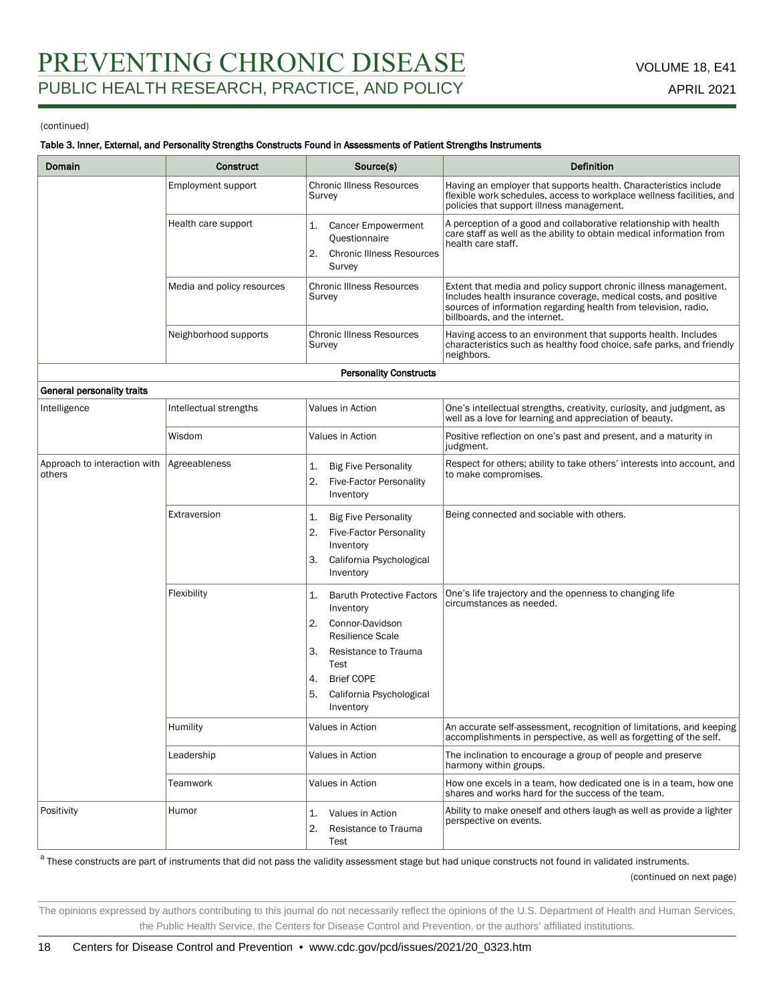#### Table 3. Inner, External, and Personality Strengths Constructs Found in Assessments of Patient Strengths Instruments

| Domain                                 | <b>Construct</b>           | Source(s)                                                                                                                                                                                                               | Definition                                                                                                                                                                                                                              |
|----------------------------------------|----------------------------|-------------------------------------------------------------------------------------------------------------------------------------------------------------------------------------------------------------------------|-----------------------------------------------------------------------------------------------------------------------------------------------------------------------------------------------------------------------------------------|
|                                        | Employment support         | <b>Chronic Illness Resources</b><br>Survey                                                                                                                                                                              | Having an employer that supports health. Characteristics include<br>flexible work schedules, access to workplace wellness facilities, and<br>policies that support illness management.                                                  |
|                                        | Health care support        | <b>Cancer Empowerment</b><br>1.<br>Questionnaire<br><b>Chronic Illness Resources</b><br>2.<br>Survey                                                                                                                    | A perception of a good and collaborative relationship with health<br>care staff as well as the ability to obtain medical information from<br>health care staff.                                                                         |
|                                        | Media and policy resources | <b>Chronic Illness Resources</b><br>Survey                                                                                                                                                                              | Extent that media and policy support chronic illness management.<br>Includes health insurance coverage, medical costs, and positive<br>sources of information regarding health from television, radio,<br>billboards, and the internet. |
|                                        | Neighborhood supports      | <b>Chronic Illness Resources</b><br>Survey                                                                                                                                                                              | Having access to an environment that supports health. Includes<br>characteristics such as healthy food choice, safe parks, and friendly<br>neighbors.                                                                                   |
|                                        |                            | <b>Personality Constructs</b>                                                                                                                                                                                           |                                                                                                                                                                                                                                         |
| General personality traits             |                            |                                                                                                                                                                                                                         |                                                                                                                                                                                                                                         |
| Intelligence                           | Intellectual strengths     | Values in Action                                                                                                                                                                                                        | One's intellectual strengths, creativity, curiosity, and judgment, as<br>well as a love for learning and appreciation of beauty.                                                                                                        |
|                                        | Wisdom                     | Values in Action                                                                                                                                                                                                        | Positive reflection on one's past and present, and a maturity in<br>judgment.                                                                                                                                                           |
| Approach to interaction with<br>others | Agreeableness              | <b>Big Five Personality</b><br>1.<br>2.<br><b>Five-Factor Personality</b><br>Inventory                                                                                                                                  | Respect for others; ability to take others' interests into account, and<br>to make compromises.                                                                                                                                         |
|                                        | Extraversion               | <b>Big Five Personality</b><br>1.<br><b>Five-Factor Personality</b><br>2.<br>Inventory<br>California Psychological<br>З.<br>Inventory                                                                                   | Being connected and sociable with others.                                                                                                                                                                                               |
|                                        | Flexibility                | <b>Baruth Protective Factors</b><br>1.<br>Inventory<br>2.<br>Connor-Davidson<br><b>Resilience Scale</b><br>Resistance to Trauma<br>З.<br>Test<br><b>Brief COPE</b><br>4.<br>5.<br>California Psychological<br>Inventory | One's life trajectory and the openness to changing life<br>circumstances as needed.                                                                                                                                                     |
|                                        | Humility                   | Values in Action                                                                                                                                                                                                        | An accurate self-assessment, recognition of limitations, and keeping<br>accomplishments in perspective, as well as forgetting of the self.                                                                                              |
|                                        | Leadership                 | Values in Action                                                                                                                                                                                                        | The inclination to encourage a group of people and preserve<br>harmony within groups.                                                                                                                                                   |
|                                        | Teamwork                   | Values in Action                                                                                                                                                                                                        | How one excels in a team, how dedicated one is in a team, how one<br>shares and works hard for the success of the team.                                                                                                                 |
| Positivity                             | Humor                      | 1.<br>Values in Action<br>2.<br>Resistance to Trauma<br>Test                                                                                                                                                            | Ability to make oneself and others laugh as well as provide a lighter<br>perspective on events.                                                                                                                                         |

<sup>a</sup> These constructs are part of instruments that did not pass the validity assessment stage but had unique constructs not found in validated instruments.

(continued on next page)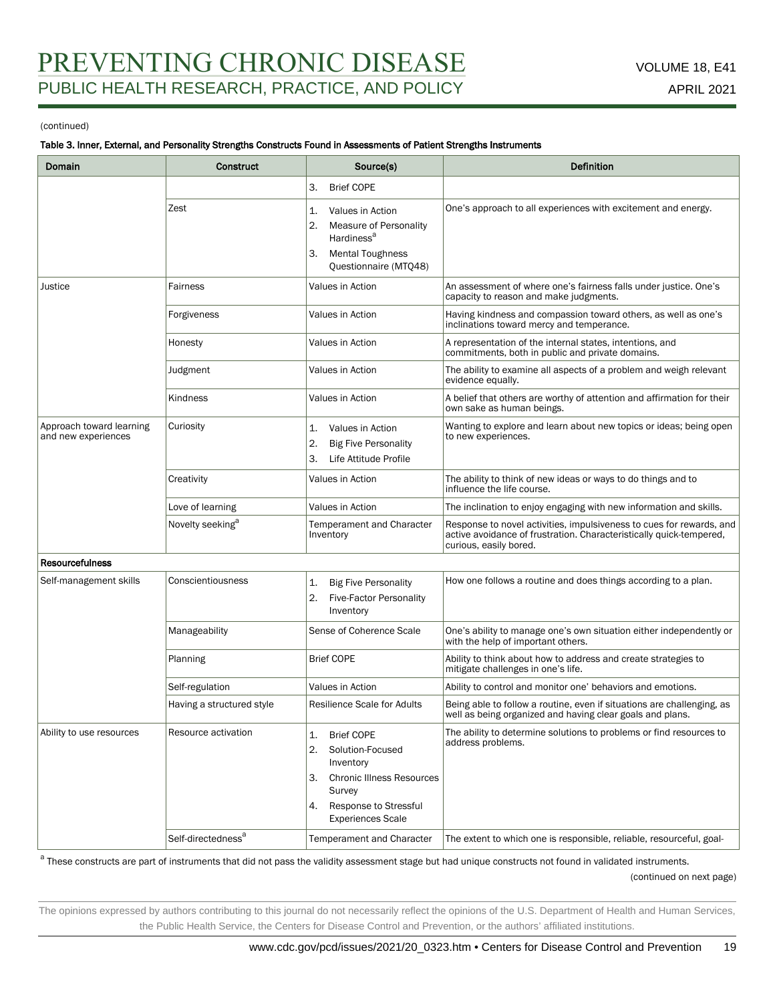#### Table 3. Inner, External, and Personality Strengths Constructs Found in Assessments of Patient Strengths Instruments

| Domain                                          | <b>Construct</b>               | Source(s)                                                                                                                                                                     | <b>Definition</b>                                                                                                                                                     |
|-------------------------------------------------|--------------------------------|-------------------------------------------------------------------------------------------------------------------------------------------------------------------------------|-----------------------------------------------------------------------------------------------------------------------------------------------------------------------|
|                                                 |                                | <b>Brief COPE</b><br>З.                                                                                                                                                       |                                                                                                                                                                       |
|                                                 | Zest                           | Values in Action<br>1.<br>2.<br>Measure of Personality<br>Hardiness <sup>a</sup><br><b>Mental Toughness</b><br>З.<br>Questionnaire (MTQ48)                                    | One's approach to all experiences with excitement and energy.                                                                                                         |
| Justice                                         | Fairness                       | Values in Action                                                                                                                                                              | An assessment of where one's fairness falls under justice. One's<br>capacity to reason and make judgments.                                                            |
|                                                 | Forgiveness                    | Values in Action                                                                                                                                                              | Having kindness and compassion toward others, as well as one's<br>inclinations toward mercy and temperance.                                                           |
|                                                 | Honesty                        | Values in Action                                                                                                                                                              | A representation of the internal states, intentions, and<br>commitments, both in public and private domains.                                                          |
|                                                 | Judgment                       | Values in Action                                                                                                                                                              | The ability to examine all aspects of a problem and weigh relevant<br>evidence equally.                                                                               |
|                                                 | Kindness                       | Values in Action                                                                                                                                                              | A belief that others are worthy of attention and affirmation for their<br>own sake as human beings.                                                                   |
| Approach toward learning<br>and new experiences | Curiosity                      | Values in Action<br>1.<br>2.<br><b>Big Five Personality</b><br>3.<br>Life Attitude Profile                                                                                    | Wanting to explore and learn about new topics or ideas; being open<br>to new experiences.                                                                             |
|                                                 | Creativity                     | Values in Action                                                                                                                                                              | The ability to think of new ideas or ways to do things and to<br>influence the life course.                                                                           |
|                                                 | Love of learning               | Values in Action                                                                                                                                                              | The inclination to enjoy engaging with new information and skills.                                                                                                    |
|                                                 | Novelty seeking <sup>a</sup>   | Temperament and Character<br>Inventory                                                                                                                                        | Response to novel activities, impulsiveness to cues for rewards, and<br>active avoidance of frustration. Characteristically quick-tempered,<br>curious, easily bored. |
| <b>Resourcefulness</b>                          |                                |                                                                                                                                                                               |                                                                                                                                                                       |
| Self-management skills                          | Conscientiousness              | 1.<br><b>Big Five Personality</b><br><b>Five-Factor Personality</b><br>2.<br>Inventory                                                                                        | How one follows a routine and does things according to a plan.                                                                                                        |
|                                                 | Manageability                  | Sense of Coherence Scale                                                                                                                                                      | One's ability to manage one's own situation either independently or<br>with the help of important others.                                                             |
|                                                 | Planning                       | <b>Brief COPE</b>                                                                                                                                                             | Ability to think about how to address and create strategies to<br>mitigate challenges in one's life.                                                                  |
|                                                 | Self-regulation                | Values in Action                                                                                                                                                              | Ability to control and monitor one' behaviors and emotions.                                                                                                           |
|                                                 | Having a structured style      | <b>Resilience Scale for Adults</b>                                                                                                                                            | Being able to follow a routine, even if situations are challenging, as<br>well as being organized and having clear goals and plans.                                   |
| Ability to use resources                        | Resource activation            | <b>Brief COPE</b><br>1.<br>Solution-Focused<br>2.<br>Inventory<br><b>Chronic Illness Resources</b><br>З.<br>Survey<br>Response to Stressful<br>4.<br><b>Experiences Scale</b> | The ability to determine solutions to problems or find resources to<br>address problems.                                                                              |
|                                                 | Self-directedness <sup>a</sup> | Temperament and Character                                                                                                                                                     | The extent to which one is responsible, reliable, resourceful, goal-                                                                                                  |

<sup>a</sup> These constructs are part of instruments that did not pass the validity assessment stage but had unique constructs not found in validated instruments.

#### (continued on next page)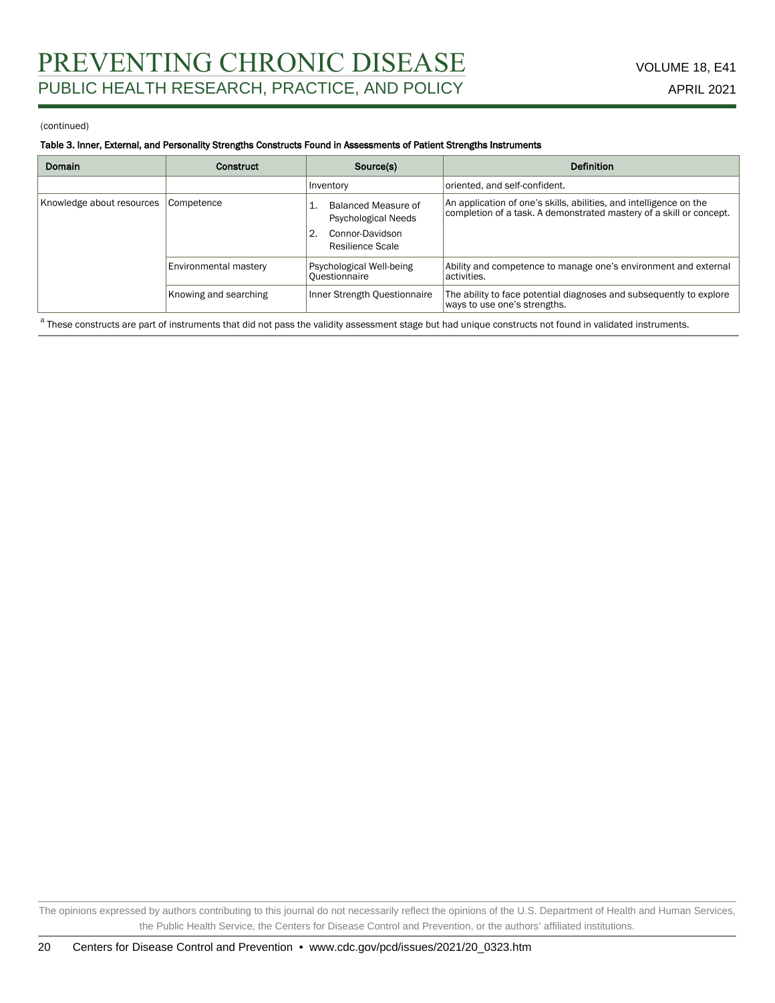#### Table 3. Inner, External, and Personality Strengths Constructs Found in Assessments of Patient Strengths Instruments

| Domain                    | Construct             | Source(s)                                                                                          | <b>Definition</b>                                                                                                                         |
|---------------------------|-----------------------|----------------------------------------------------------------------------------------------------|-------------------------------------------------------------------------------------------------------------------------------------------|
|                           |                       | Inventory                                                                                          | oriented, and self-confident.                                                                                                             |
| Knowledge about resources | Competence            | Balanced Measure of<br>Psychological Needs<br>$^{\circ}$ 2.<br>Connor-Davidson<br>Resilience Scale | An application of one's skills, abilities, and intelligence on the<br>completion of a task. A demonstrated mastery of a skill or concept. |
|                           | Environmental mastery | Psychological Well-being<br>Questionnaire                                                          | Ability and competence to manage one's environment and external<br>l activities.                                                          |
|                           | Knowing and searching | Inner Strength Questionnaire                                                                       | The ability to face potential diagnoses and subsequently to explore<br>ways to use one's strengths.                                       |

<sup>a</sup> These constructs are part of instruments that did not pass the validity assessment stage but had unique constructs not found in validated instruments.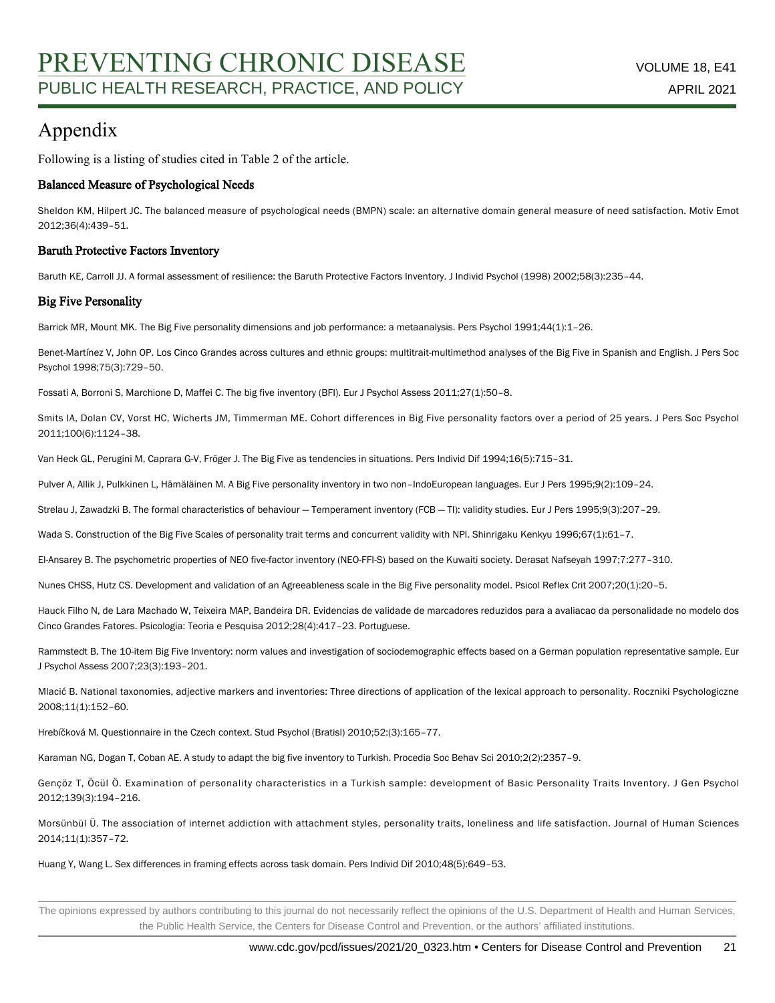# Appendix

Following is a listing of studies cited in Table 2 of the article.

### Balanced Measure of Psychological Needs

Sheldon KM, Hilpert JC. The balanced measure of psychological needs (BMPN) scale: an alternative domain general measure of need satisfaction. Motiv Emot 2012;36(4):439–51.

### Baruth Protective Factors Inventory

Baruth KE, Carroll JJ. A formal assessment of resilience: the Baruth Protective Factors Inventory. J Individ Psychol (1998) 2002;58(3):235–44.

### Big Five Personality

Barrick MR, Mount MK. The Big Five personality dimensions and job performance: a metaanalysis. Pers Psychol 1991;44(1):1–26.

Benet-Martínez V, John OP. Los Cinco Grandes across cultures and ethnic groups: multitrait-multimethod analyses of the Big Five in Spanish and English. J Pers Soc Psychol 1998;75(3):729–50.

Fossati A, Borroni S, Marchione D, Maffei C. The big five inventory (BFI). Eur J Psychol Assess 2011;27(1):50–8.

Smits IA, Dolan CV, Vorst HC, Wicherts JM, Timmerman ME. Cohort differences in Big Five personality factors over a period of 25 years. J Pers Soc Psychol 2011;100(6):1124–38.

Van Heck GL, Perugini M, Caprara G-V, Fröger J. The Big Five as tendencies in situations. Pers Individ Dif 1994;16(5):715–31.

Pulver A, Allik J, Pulkkinen L, Hämäläinen M. A Big Five personality inventory in two non–IndoEuropean languages. Eur J Pers 1995;9(2):109–24.

Strelau J, Zawadzki B. The formal characteristics of behaviour — Temperament inventory (FCB — TI): validity studies. Eur J Pers 1995;9(3):207–29.

Wada S. Construction of the Big Five Scales of personality trait terms and concurrent validity with NPI. Shinrigaku Kenkyu 1996;67(1):61-7.

El-Ansarey B. The psychometric properties of NEO five-factor inventory (NEO-FFI-S) based on the Kuwaiti society. Derasat Nafseyah 1997;7:277–310.

Nunes CHSS, Hutz CS. Development and validation of an Agreeableness scale in the Big Five personality model. Psicol Reflex Crit 2007;20(1):20–5.

Hauck Filho N, de Lara Machado W, Teixeira MAP, Bandeira DR. Evidencias de validade de marcadores reduzidos para a avaliacao da personalidade no modelo dos Cinco Grandes Fatores. Psicologia: Teoria e Pesquisa 2012;28(4):417–23. Portuguese.

Rammstedt B. The 10-item Big Five Inventory: norm values and investigation of sociodemographic effects based on a German population representative sample. Eur J Psychol Assess 2007;23(3):193–201.

Mlacić B. National taxonomies, adjective markers and inventories: Three directions of application of the lexical approach to personality. Roczniki Psychologiczne 2008;11(1):152–60.

Hrebíčková M. Questionnaire in the Czech context. Stud Psychol (Bratisl) 2010;52:(3):165–77.

Karaman NG, Dogan T, Coban AE. A study to adapt the big five inventory to Turkish. Procedia Soc Behav Sci 2010;2(2):2357–9.

Gençöz T, Öcül Ö. Examination of personality characteristics in a Turkish sample: development of Basic Personality Traits Inventory. J Gen Psychol 2012;139(3):194–216.

Morsünbül Ü. The association of internet addiction with attachment styles, personality traits, loneliness and life satisfaction. Journal of Human Sciences 2014;11(1):357–72.

Huang Y, Wang L. Sex differences in framing effects across task domain. Pers Individ Dif 2010;48(5):649–53.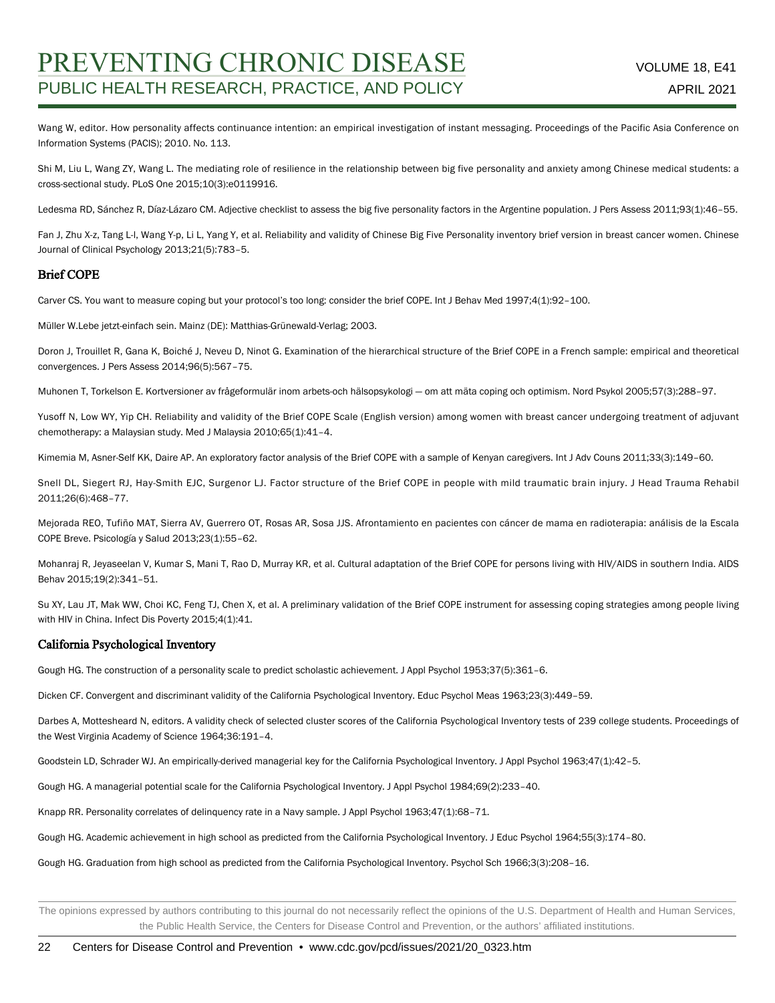Wang W, editor. How personality affects continuance intention: an empirical investigation of instant messaging. Proceedings of the Pacific Asia Conference on Information Systems (PACIS); 2010. No. 113.

Shi M, Liu L, Wang ZY, Wang L. The mediating role of resilience in the relationship between big five personality and anxiety among Chinese medical students: a cross-sectional study. PLoS One 2015;10(3):e0119916.

Ledesma RD, Sánchez R, Díaz-Lázaro CM. Adjective checklist to assess the big five personality factors in the Argentine population. J Pers Assess 2011;93(1):46–55.

Fan J, Zhu X-z, Tang L-l, Wang Y-p, Li L, Yang Y, et al. Reliability and validity of Chinese Big Five Personality inventory brief version in breast cancer women. Chinese Journal of Clinical Psychology 2013;21(5):783–5.

#### Brief COPE

Carver CS. You want to measure coping but your protocol's too long: consider the brief COPE. Int J Behav Med 1997;4(1):92–100.

Müller W.Lebe jetzt-einfach sein. Mainz (DE): Matthias-Grünewald-Verlag; 2003.

Doron J, Trouillet R, Gana K, Boiché J, Neveu D, Ninot G. Examination of the hierarchical structure of the Brief COPE in a French sample: empirical and theoretical convergences. J Pers Assess 2014;96(5):567–75.

Muhonen T, Torkelson E. Kortversioner av frågeformulär inom arbets-och hälsopsykologi — om att mäta coping och optimism. Nord Psykol 2005;57(3):288–97.

Yusoff N, Low WY, Yip CH. Reliability and validity of the Brief COPE Scale (English version) among women with breast cancer undergoing treatment of adjuvant chemotherapy: a Malaysian study. Med J Malaysia 2010;65(1):41–4.

Kimemia M, Asner-Self KK, Daire AP. An exploratory factor analysis of the Brief COPE with a sample of Kenyan caregivers. Int J Adv Couns 2011;33(3):149–60.

Snell DL, Siegert RJ, Hay-Smith EJC, Surgenor LJ. Factor structure of the Brief COPE in people with mild traumatic brain injury. J Head Trauma Rehabil 2011;26(6):468–77.

Mejorada REO, Tufiño MAT, Sierra AV, Guerrero OT, Rosas AR, Sosa JJS. Afrontamiento en pacientes con cáncer de mama en radioterapia: análisis de la Escala COPE Breve. Psicología y Salud 2013;23(1):55–62.

Mohanraj R, Jeyaseelan V, Kumar S, Mani T, Rao D, Murray KR, et al. Cultural adaptation of the Brief COPE for persons living with HIV/AIDS in southern India. AIDS Behav 2015;19(2):341–51.

Su XY, Lau JT, Mak WW, Choi KC, Feng TJ, Chen X, et al. A preliminary validation of the Brief COPE instrument for assessing coping strategies among people living with HIV in China. Infect Dis Poverty 2015;4(1):41.

#### California Psychological Inventory

Gough HG. The construction of a personality scale to predict scholastic achievement. J Appl Psychol 1953;37(5):361–6.

Dicken CF. Convergent and discriminant validity of the California Psychological Inventory. Educ Psychol Meas 1963;23(3):449–59.

Darbes A, Mottesheard N, editors. A validity check of selected cluster scores of the California Psychological Inventory tests of 239 college students. Proceedings of the West Virginia Academy of Science 1964;36:191–4.

Goodstein LD, Schrader WJ. An empirically-derived managerial key for the California Psychological Inventory. J Appl Psychol 1963;47(1):42–5.

Gough HG. A managerial potential scale for the California Psychological Inventory. J Appl Psychol 1984;69(2):233–40.

Knapp RR. Personality correlates of delinquency rate in a Navy sample. J Appl Psychol 1963;47(1):68–71.

Gough HG. Academic achievement in high school as predicted from the California Psychological Inventory. J Educ Psychol 1964;55(3):174–80.

Gough HG. Graduation from high school as predicted from the California Psychological Inventory. Psychol Sch 1966;3(3):208–16.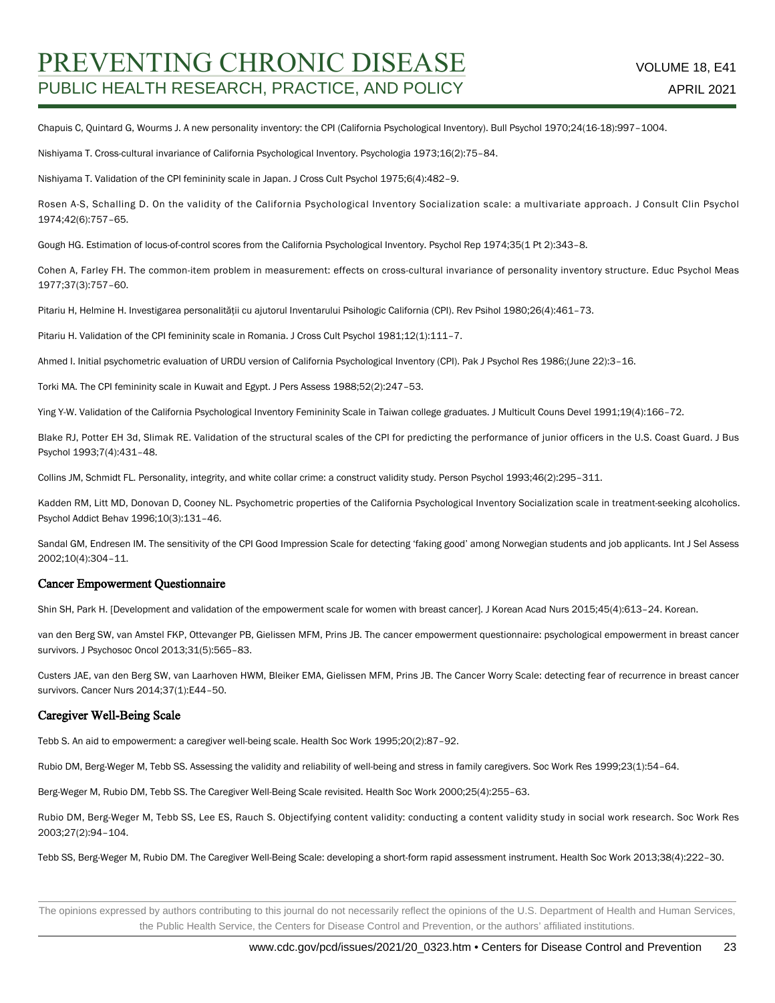Chapuis C, Quintard G, Wourms J. A new personality inventory: the CPI (California Psychological Inventory). Bull Psychol 1970;24(16-18):997–1004.

Nishiyama T. Cross-cultural invariance of California Psychological Inventory. Psychologia 1973;16(2):75–84.

Nishiyama T. Validation of the CPI femininity scale in Japan. J Cross Cult Psychol 1975;6(4):482–9.

Rosen A-S, Schalling D. On the validity of the California Psychological Inventory Socialization scale: a multivariate approach. J Consult Clin Psychol 1974;42(6):757–65.

Gough HG. Estimation of locus-of-control scores from the California Psychological Inventory. Psychol Rep 1974;35(1 Pt 2):343–8.

Cohen A, Farley FH. The common-item problem in measurement: effects on cross-cultural invariance of personality inventory structure. Educ Psychol Meas 1977;37(3):757–60.

Pitariu H, Helmine H. Investigarea personalităţii cu ajutorul Inventarului Psihologic California (CPI). Rev Psihol 1980;26(4):461–73.

Pitariu H. Validation of the CPI femininity scale in Romania. J Cross Cult Psychol 1981;12(1):111-7.

Ahmed I. Initial psychometric evaluation of URDU version of California Psychological Inventory (CPI). Pak J Psychol Res 1986;(June 22):3–16.

Torki MA. The CPI femininity scale in Kuwait and Egypt. J Pers Assess 1988;52(2):247–53.

Ying Y-W. Validation of the California Psychological Inventory Femininity Scale in Taiwan college graduates. J Multicult Couns Devel 1991;19(4):166–72.

Blake RJ, Potter EH 3d, Slimak RE. Validation of the structural scales of the CPI for predicting the performance of junior officers in the U.S. Coast Guard. J Bus Psychol 1993;7(4):431–48.

Collins JM, Schmidt FL. Personality, integrity, and white collar crime: a construct validity study. Person Psychol 1993;46(2):295–311.

Kadden RM, Litt MD, Donovan D, Cooney NL. Psychometric properties of the California Psychological Inventory Socialization scale in treatment-seeking alcoholics. Psychol Addict Behav 1996;10(3):131–46.

Sandal GM, Endresen IM. The sensitivity of the CPI Good Impression Scale for detecting 'faking good' among Norwegian students and job applicants. Int J Sel Assess 2002;10(4):304–11.

#### Cancer Empowerment Questionnaire

Shin SH, Park H. [Development and validation of the empowerment scale for women with breast cancer]. J Korean Acad Nurs 2015;45(4):613–24. Korean.

van den Berg SW, van Amstel FKP, Ottevanger PB, Gielissen MFM, Prins JB. The cancer empowerment questionnaire: psychological empowerment in breast cancer survivors. J Psychosoc Oncol 2013;31(5):565–83.

Custers JAE, van den Berg SW, van Laarhoven HWM, Bleiker EMA, Gielissen MFM, Prins JB. The Cancer Worry Scale: detecting fear of recurrence in breast cancer survivors. Cancer Nurs 2014;37(1):E44–50.

#### Caregiver Well-Being Scale

Tebb S. An aid to empowerment: a caregiver well-being scale. Health Soc Work 1995;20(2):87–92.

Rubio DM, Berg-Weger M, Tebb SS. Assessing the validity and reliability of well-being and stress in family caregivers. Soc Work Res 1999;23(1):54–64.

Berg-Weger M, Rubio DM, Tebb SS. The Caregiver Well-Being Scale revisited. Health Soc Work 2000;25(4):255–63.

Rubio DM, Berg-Weger M, Tebb SS, Lee ES, Rauch S. Objectifying content validity: conducting a content validity study in social work research. Soc Work Res 2003;27(2):94–104.

Tebb SS, Berg-Weger M, Rubio DM. The Caregiver Well-Being Scale: developing a short-form rapid assessment instrument. Health Soc Work 2013;38(4):222–30.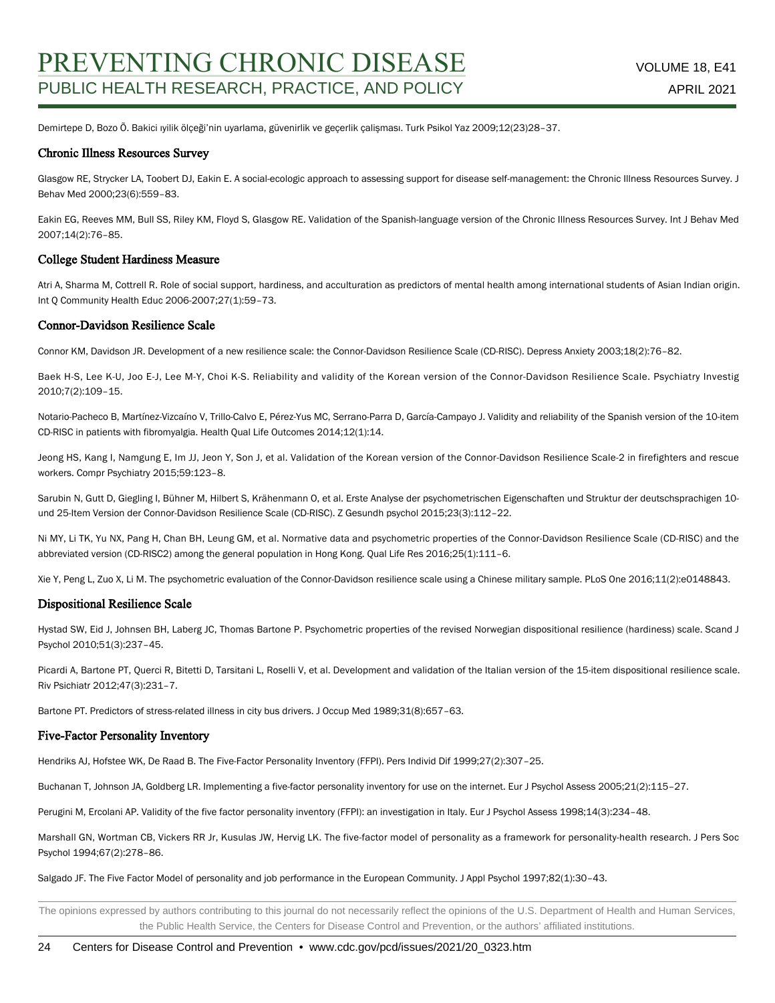Demirtepe D, Bozo Õ. Bakici ıyilik ölçeği'nin uyarlama, güvenirlik ve geçerlik çalişması. Turk Psikol Yaz 2009;12(23)28–37.

#### Chronic Illness Resources Survey

Glasgow RE, Strycker LA, Toobert DJ, Eakin E. A social-ecologic approach to assessing support for disease self-management: the Chronic Illness Resources Survey. J Behav Med 2000;23(6):559–83.

Eakin EG, Reeves MM, Bull SS, Riley KM, Floyd S, Glasgow RE. Validation of the Spanish-language version of the Chronic Illness Resources Survey. Int J Behav Med 2007;14(2):76–85.

#### College Student Hardiness Measure

Atri A, Sharma M, Cottrell R. Role of social support, hardiness, and acculturation as predictors of mental health among international students of Asian Indian origin. Int Q Community Health Educ 2006-2007;27(1):59–73.

#### Connor-Davidson Resilience Scale

Connor KM, Davidson JR. Development of a new resilience scale: the Connor-Davidson Resilience Scale (CD-RISC). Depress Anxiety 2003;18(2):76–82.

Baek H-S, Lee K-U, Joo E-J, Lee M-Y, Choi K-S. Reliability and validity of the Korean version of the Connor-Davidson Resilience Scale. Psychiatry Investig 2010;7(2):109–15.

Notario-Pacheco B, Martínez-Vizcaíno V, Trillo-Calvo E, Pérez-Yus MC, Serrano-Parra D, García-Campayo J. Validity and reliability of the Spanish version of the 10-item CD-RISC in patients with fibromyalgia. Health Qual Life Outcomes 2014;12(1):14.

Jeong HS, Kang I, Namgung E, Im JJ, Jeon Y, Son J, et al. Validation of the Korean version of the Connor-Davidson Resilience Scale-2 in firefighters and rescue workers. Compr Psychiatry 2015;59:123–8.

Sarubin N, Gutt D, Giegling I, Bühner M, Hilbert S, Krähenmann O, et al. Erste Analyse der psychometrischen Eigenschaften und Struktur der deutschsprachigen 10 und 25-Item Version der Connor-Davidson Resilience Scale (CD-RISC). Z Gesundh psychol 2015;23(3):112–22.

Ni MY, Li TK, Yu NX, Pang H, Chan BH, Leung GM, et al. Normative data and psychometric properties of the Connor-Davidson Resilience Scale (CD-RISC) and the abbreviated version (CD-RISC2) among the general population in Hong Kong. Qual Life Res 2016;25(1):111–6.

Xie Y, Peng L, Zuo X, Li M. The psychometric evaluation of the Connor-Davidson resilience scale using a Chinese military sample. PLoS One 2016;11(2):e0148843.

#### Dispositional Resilience Scale

Hystad SW, Eid J, Johnsen BH, Laberg JC, Thomas Bartone P. Psychometric properties of the revised Norwegian dispositional resilience (hardiness) scale. Scand J Psychol 2010;51(3):237–45.

Picardi A, Bartone PT, Querci R, Bitetti D, Tarsitani L, Roselli V, et al. Development and validation of the Italian version of the 15-item dispositional resilience scale. Riv Psichiatr 2012;47(3):231–7.

Bartone PT. Predictors of stress-related illness in city bus drivers. J Occup Med 1989;31(8):657–63.

#### Five-Factor Personality Inventory

Hendriks AJ, Hofstee WK, De Raad B. The Five-Factor Personality Inventory (FFPI). Pers Individ Dif 1999;27(2):307–25.

Buchanan T, Johnson JA, Goldberg LR. Implementing a five-factor personality inventory for use on the internet. Eur J Psychol Assess 2005;21(2):115–27.

Perugini M, Ercolani AP. Validity of the five factor personality inventory (FFPI): an investigation in Italy. Eur J Psychol Assess 1998;14(3):234–48.

Marshall GN, Wortman CB, Vickers RR Jr, Kusulas JW, Hervig LK. The five-factor model of personality as a framework for personality-health research. J Pers Soc Psychol 1994;67(2):278–86.

Salgado JF. The Five Factor Model of personality and job performance in the European Community. J Appl Psychol 1997;82(1):30–43.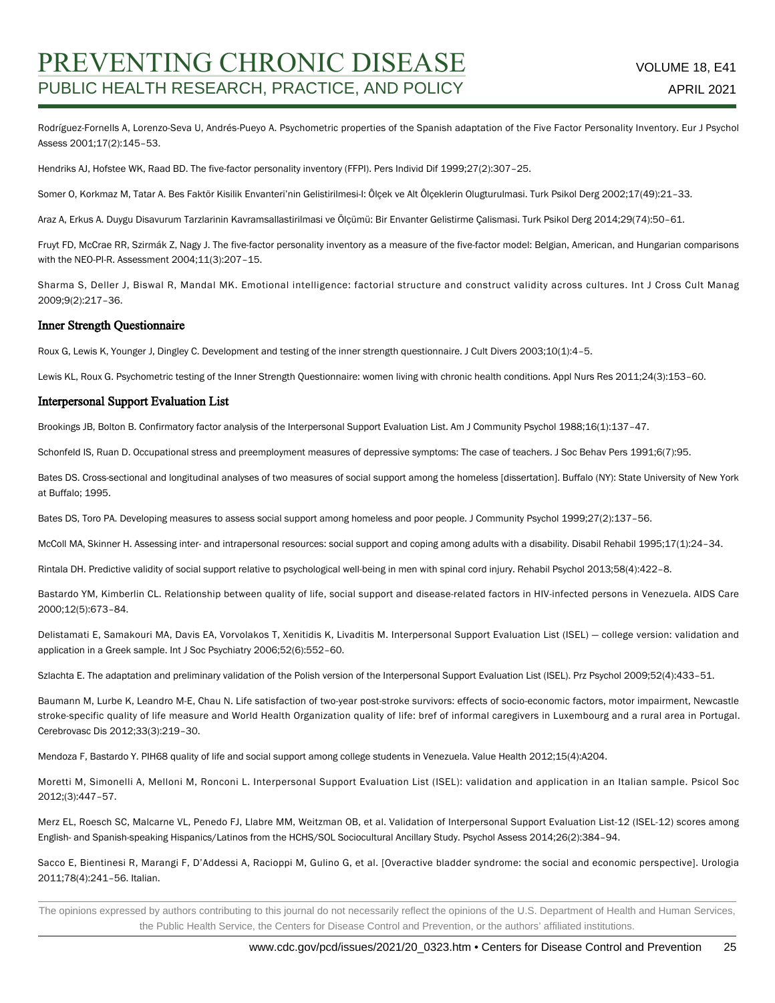Rodríguez-Fornells A, Lorenzo-Seva U, Andrés-Pueyo A. Psychometric properties of the Spanish adaptation of the Five Factor Personality Inventory. Eur J Psychol Assess 2001;17(2):145–53.

Hendriks AJ, Hofstee WK, Raad BD. The five-factor personality inventory (FFPI). Pers Individ Dif 1999;27(2):307–25.

Somer O, Korkmaz M, Tatar A. Bes Faktör Kisilik Envanteri'nin Gelistirilmesi-I: Ôlçek ve Alt Ôlçeklerin Olugturulmasi. Turk Psikol Derg 2002;17(49):21–33.

Araz A, Erkus A. Duygu Disavurum Tarzlarinin Kavramsallastirilmasi ve Ölçümü: Bir Envanter Gelistirme Çalismasi. Turk Psikol Derg 2014;29(74):50–61.

Fruyt FD, McCrae RR, Szirmák Z, Nagy J. The five-factor personality inventory as a measure of the five-factor model: Belgian, American, and Hungarian comparisons with the NEO-PI-R. Assessment 2004;11(3):207–15.

Sharma S, Deller J, Biswal R, Mandal MK. Emotional intelligence: factorial structure and construct validity across cultures. Int J Cross Cult Manag 2009;9(2):217–36.

#### Inner Strength Questionnaire

Roux G, Lewis K, Younger J, Dingley C. Development and testing of the inner strength questionnaire. J Cult Divers 2003;10(1):4–5.

Lewis KL, Roux G. Psychometric testing of the Inner Strength Questionnaire: women living with chronic health conditions. Appl Nurs Res 2011;24(3):153–60.

#### Interpersonal Support Evaluation List

Brookings JB, Bolton B. Confirmatory factor analysis of the Interpersonal Support Evaluation List. Am J Community Psychol 1988;16(1):137–47.

Schonfeld IS, Ruan D. Occupational stress and preemployment measures of depressive symptoms: The case of teachers. J Soc Behav Pers 1991;6(7):95.

Bates DS. Cross-sectional and longitudinal analyses of two measures of social support among the homeless [dissertation]. Buffalo (NY): State University of New York at Buffalo; 1995.

Bates DS, Toro PA. Developing measures to assess social support among homeless and poor people. J Community Psychol 1999;27(2):137–56.

McColl MA, Skinner H. Assessing inter- and intrapersonal resources: social support and coping among adults with a disability. Disabil Rehabil 1995;17(1):24–34.

Rintala DH. Predictive validity of social support relative to psychological well-being in men with spinal cord injury. Rehabil Psychol 2013;58(4):422–8.

Bastardo YM, Kimberlin CL. Relationship between quality of life, social support and disease-related factors in HIV-infected persons in Venezuela. AIDS Care 2000;12(5):673–84.

Delistamati E, Samakouri MA, Davis EA, Vorvolakos T, Xenitidis K, Livaditis M. Interpersonal Support Evaluation List (ISEL) — college version: validation and application in a Greek sample. Int J Soc Psychiatry 2006;52(6):552–60.

Szlachta E. The adaptation and preliminary validation of the Polish version of the Interpersonal Support Evaluation List (ISEL). Prz Psychol 2009;52(4):433–51.

Baumann M, Lurbe K, Leandro M-E, Chau N. Life satisfaction of two-year post-stroke survivors: effects of socio-economic factors, motor impairment, Newcastle stroke-specific quality of life measure and World Health Organization quality of life: bref of informal caregivers in Luxembourg and a rural area in Portugal. Cerebrovasc Dis 2012;33(3):219–30.

Mendoza F, Bastardo Y. PIH68 quality of life and social support among college students in Venezuela. Value Health 2012;15(4):A204.

Moretti M, Simonelli A, Melloni M, Ronconi L. Interpersonal Support Evaluation List (ISEL): validation and application in an Italian sample. Psicol Soc 2012;(3):447–57.

Merz EL, Roesch SC, Malcarne VL, Penedo FJ, Llabre MM, Weitzman OB, et al. Validation of Interpersonal Support Evaluation List-12 (ISEL-12) scores among English- and Spanish-speaking Hispanics/Latinos from the HCHS/SOL Sociocultural Ancillary Study. Psychol Assess 2014;26(2):384–94.

Sacco E, Bientinesi R, Marangi F, D'Addessi A, Racioppi M, Gulino G, et al. [Overactive bladder syndrome: the social and economic perspective]. Urologia 2011;78(4):241–56. Italian.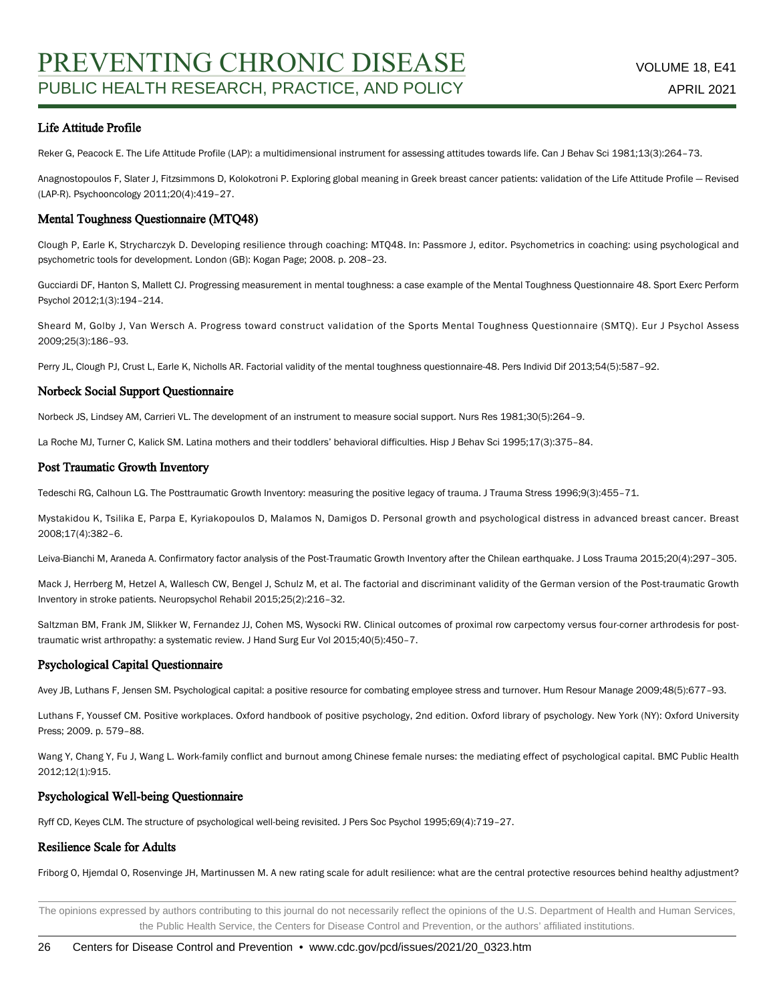### Life Attitude Profile

Reker G, Peacock E. The Life Attitude Profile (LAP): a multidimensional instrument for assessing attitudes towards life. Can J Behav Sci 1981;13(3):264–73.

Anagnostopoulos F, Slater J, Fitzsimmons D, Kolokotroni P. Exploring global meaning in Greek breast cancer patients: validation of the Life Attitude Profile — Revised (LAP-R). Psychooncology 2011;20(4):419–27.

#### Mental Toughness Questionnaire (MTQ48)

Clough P, Earle K, Strycharczyk D. Developing resilience through coaching: MTQ48. In: Passmore J, editor. Psychometrics in coaching: using psychological and psychometric tools for development. London (GB): Kogan Page; 2008. p. 208–23.

Gucciardi DF, Hanton S, Mallett CJ. Progressing measurement in mental toughness: a case example of the Mental Toughness Questionnaire 48. Sport Exerc Perform Psychol 2012;1(3):194–214.

Sheard M, Golby J, Van Wersch A. Progress toward construct validation of the Sports Mental Toughness Questionnaire (SMTQ). Eur J Psychol Assess 2009;25(3):186–93.

Perry JL, Clough PJ, Crust L, Earle K, Nicholls AR. Factorial validity of the mental toughness questionnaire-48. Pers Individ Dif 2013;54(5):587–92.

#### Norbeck Social Support Questionnaire

Norbeck JS, Lindsey AM, Carrieri VL. The development of an instrument to measure social support. Nurs Res 1981;30(5):264–9.

La Roche MJ, Turner C, Kalick SM. Latina mothers and their toddlers' behavioral difficulties. Hisp J Behav Sci 1995;17(3):375–84.

#### Post Traumatic Growth Inventory

Tedeschi RG, Calhoun LG. The Posttraumatic Growth Inventory: measuring the positive legacy of trauma. J Trauma Stress 1996;9(3):455–71.

Mystakidou K, Tsilika E, Parpa E, Kyriakopoulos D, Malamos N, Damigos D. Personal growth and psychological distress in advanced breast cancer. Breast 2008;17(4):382–6.

Leiva-Bianchi M, Araneda A. Confirmatory factor analysis of the Post-Traumatic Growth Inventory after the Chilean earthquake. J Loss Trauma 2015;20(4):297–305.

Mack J, Herrberg M, Hetzel A, Wallesch CW, Bengel J, Schulz M, et al. The factorial and discriminant validity of the German version of the Post-traumatic Growth Inventory in stroke patients. Neuropsychol Rehabil 2015;25(2):216–32.

Saltzman BM, Frank JM, Slikker W, Fernandez JJ, Cohen MS, Wysocki RW. Clinical outcomes of proximal row carpectomy versus four-corner arthrodesis for posttraumatic wrist arthropathy: a systematic review. J Hand Surg Eur Vol 2015;40(5):450–7.

#### Psychological Capital Questionnaire

Avey JB, Luthans F, Jensen SM. Psychological capital: a positive resource for combating employee stress and turnover. Hum Resour Manage 2009;48(5):677–93.

Luthans F, Youssef CM. Positive workplaces. Oxford handbook of positive psychology, 2nd edition. Oxford library of psychology. New York (NY): Oxford University Press; 2009. p. 579–88.

Wang Y, Chang Y, Fu J, Wang L. Work-family conflict and burnout among Chinese female nurses: the mediating effect of psychological capital. BMC Public Health 2012;12(1):915.

#### Psychological Well-being Questionnaire

Ryff CD, Keyes CLM. The structure of psychological well-being revisited. J Pers Soc Psychol 1995;69(4):719–27.

### Resilience Scale for Adults

Friborg O, Hjemdal O, Rosenvinge JH, Martinussen M. A new rating scale for adult resilience: what are the central protective resources behind healthy adjustment?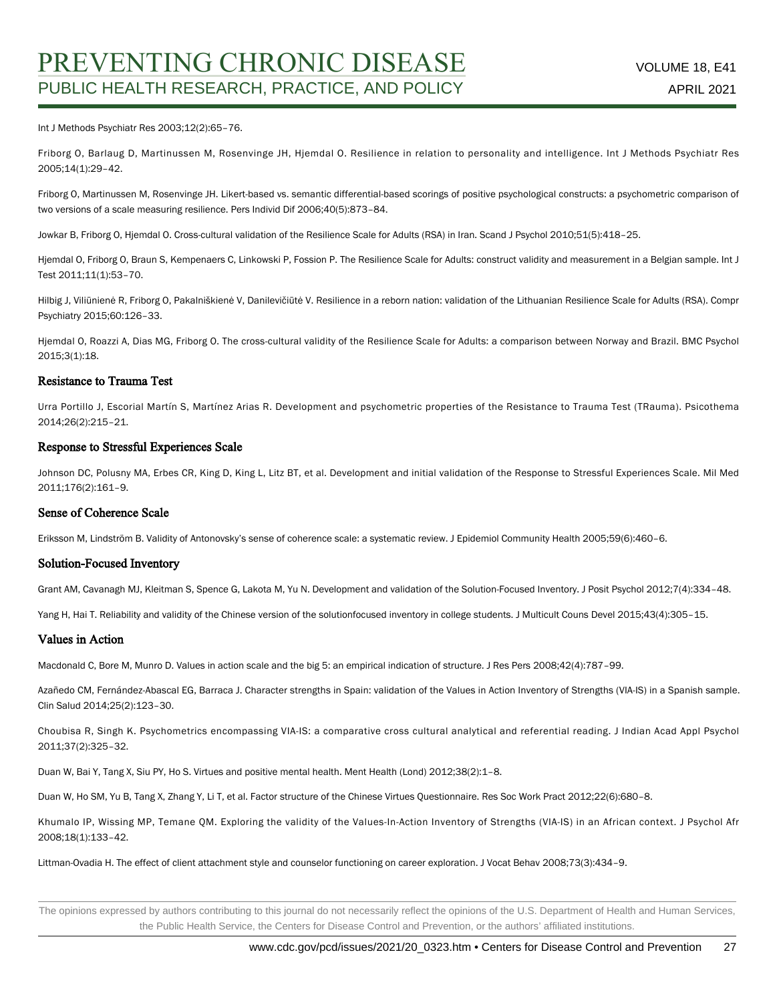#### Int J Methods Psychiatr Res 2003;12(2):65–76.

Friborg O, Barlaug D, Martinussen M, Rosenvinge JH, Hjemdal O. Resilience in relation to personality and intelligence. Int J Methods Psychiatr Res 2005;14(1):29–42.

Friborg O, Martinussen M, Rosenvinge JH. Likert-based vs. semantic differential-based scorings of positive psychological constructs: a psychometric comparison of two versions of a scale measuring resilience. Pers Individ Dif 2006;40(5):873–84.

Jowkar B, Friborg O, Hjemdal O. Cross-cultural validation of the Resilience Scale for Adults (RSA) in Iran. Scand J Psychol 2010;51(5):418–25.

Hjemdal O, Friborg O, Braun S, Kempenaers C, Linkowski P, Fossion P. The Resilience Scale for Adults: construct validity and measurement in a Belgian sample. Int J Test 2011;11(1):53–70.

Hilbig J, Viliūnienė R, Friborg O, Pakalniškienė V, Danilevičiūtė V. Resilience in a reborn nation: validation of the Lithuanian Resilience Scale for Adults (RSA). Compr Psychiatry 2015;60:126–33.

Hjemdal O, Roazzi A, Dias MG, Friborg O. The cross-cultural validity of the Resilience Scale for Adults: a comparison between Norway and Brazil. BMC Psychol 2015;3(1):18.

#### Resistance to Trauma Test

Urra Portillo J, Escorial Martín S, Martínez Arias R. Development and psychometric properties of the Resistance to Trauma Test (TRauma). Psicothema 2014;26(2):215–21.

#### Response to Stressful Experiences Scale

Johnson DC, Polusny MA, Erbes CR, King D, King L, Litz BT, et al. Development and initial validation of the Response to Stressful Experiences Scale. Mil Med 2011;176(2):161–9.

#### Sense of Coherence Scale

Eriksson M, Lindström B. Validity of Antonovsky's sense of coherence scale: a systematic review. J Epidemiol Community Health 2005;59(6):460–6.

#### Solution-Focused Inventory

Grant AM, Cavanagh MJ, Kleitman S, Spence G, Lakota M, Yu N. Development and validation of the Solution-Focused Inventory. J Posit Psychol 2012;7(4):334–48.

Yang H, Hai T. Reliability and validity of the Chinese version of the solutionfocused inventory in college students. J Multicult Couns Devel 2015;43(4):305-15.

#### Values in Action

Macdonald C, Bore M, Munro D. Values in action scale and the big 5: an empirical indication of structure. J Res Pers 2008;42(4):787–99.

Azañedo CM, Fernández-Abascal EG, Barraca J. Character strengths in Spain: validation of the Values in Action Inventory of Strengths (VIA-IS) in a Spanish sample. Clin Salud 2014;25(2):123–30.

Choubisa R, Singh K. Psychometrics encompassing VIA-IS: a comparative cross cultural analytical and referential reading. J Indian Acad Appl Psychol 2011;37(2):325–32.

Duan W, Bai Y, Tang X, Siu PY, Ho S. Virtues and positive mental health. Ment Health (Lond) 2012;38(2):1–8.

Duan W, Ho SM, Yu B, Tang X, Zhang Y, Li T, et al. Factor structure of the Chinese Virtues Questionnaire. Res Soc Work Pract 2012;22(6):680–8.

Khumalo IP, Wissing MP, Temane QM. Exploring the validity of the Values-In-Action Inventory of Strengths (VIA-IS) in an African context. J Psychol Afr 2008;18(1):133–42.

Littman-Ovadia H. The effect of client attachment style and counselor functioning on career exploration. J Vocat Behav 2008;73(3):434–9.